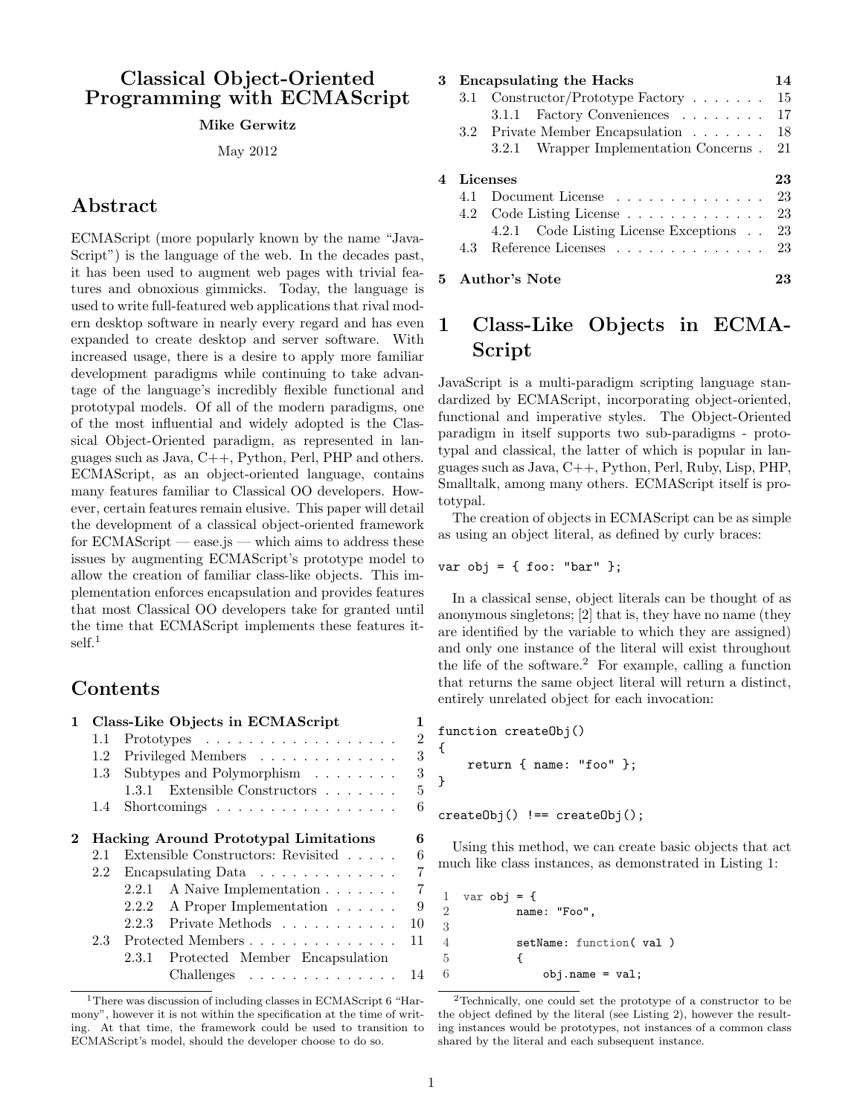# Classical Object-Oriented Programming with ECMAScript

#### Mike Gerwitz

May 2012

# Abstract

ECMAScript (more popularly known by the name "Java-Script") is the language of the web. In the decades past, it has been used to augment web pages with trivial features and obnoxious gimmicks. Today, the language is used to write full-featured web applications that rival modern desktop software in nearly every regard and has even expanded to create desktop and server software. With increased usage, there is a desire to apply more familiar development paradigms while continuing to take advantage of the language's incredibly flexible functional and prototypal models. Of all of the modern paradigms, one of the most influential and widely adopted is the Classical Object-Oriented paradigm, as represented in languages such as Java, C++, Python, Perl, PHP and others. ECMAScript, as an object-oriented language, contains many features familiar to Classical OO developers. However, certain features remain elusive. This paper will detail the development of a classical object-oriented framework for ECMAScript — ease.js — which aims to address these issues by augmenting ECMAScript's prototype model to allow the creation of familiar class-like objects. This implementation enforces encapsulation and provides features that most Classical OO developers take for granted until the time that ECMAScript implements these features it-self.<sup>[1](#page-0-0)</sup>

# Contents

| $\mathbf{1}$                                            |                                       | Class-Like Objects in ECMAScript                   | 1              |  |  |  |
|---------------------------------------------------------|---------------------------------------|----------------------------------------------------|----------------|--|--|--|
|                                                         | 1.1                                   | Prototypes                                         | $\overline{2}$ |  |  |  |
|                                                         | 1.2                                   | Privileged Members                                 | 3              |  |  |  |
|                                                         | 1.3                                   | Subtypes and Polymorphism                          | 3              |  |  |  |
|                                                         |                                       | 1.3.1 Extensible Constructors                      | 5              |  |  |  |
|                                                         | $1.4^{\circ}$                         | Shortcomings $\dots \dots \dots \dots \dots \dots$ | 6              |  |  |  |
| $\mathbf{2}$                                            | Hacking Around Prototypal Limitations |                                                    |                |  |  |  |
|                                                         | 2.1                                   | Extensible Constructors: Revisited                 | 6              |  |  |  |
| Encapsulating Data $\ldots \ldots \ldots \ldots$<br>2.2 |                                       |                                                    |                |  |  |  |
|                                                         |                                       | A Naive Implementation<br>2.2.1                    | 7              |  |  |  |
|                                                         |                                       | 2.2.2<br>A Proper Implementation                   | 9              |  |  |  |
|                                                         |                                       | 2.2.3 Private Methods $\ldots \ldots \ldots$       | 10             |  |  |  |
| Protected Members<br>2.3                                |                                       |                                                    |                |  |  |  |
|                                                         |                                       | Protected Member Encapsulation<br>2.3.1            |                |  |  |  |
|                                                         |                                       | $Challenges \dots \dots \dots \dots \dots$         | 14             |  |  |  |

| 3 | <b>Encapsulating the Hacks</b> |                                        |    |
|---|--------------------------------|----------------------------------------|----|
|   |                                | 3.1 Constructor/Prototype Factory      | 15 |
|   |                                | 3.1.1 Factory Conveniences             | 17 |
|   |                                | 3.2 Private Member Encapsulation       | 18 |
|   |                                | 3.2.1 Wrapper Implementation Concerns. | 21 |
| 4 | Licenses                       | 23                                     |    |
|   |                                | 4.1 Document License                   | 23 |
|   |                                | 4.2 Code Listing License 23            |    |
|   |                                | 4.2.1 Code Listing License Exceptions  | 23 |
|   |                                | 4.3 Reference Licenses                 | 23 |
|   |                                | 5 Author's Note                        | 23 |

# <span id="page-0-1"></span>1 Class-Like Objects in ECMA-Script

JavaScript is a multi-paradigm scripting language standardized by ECMAScript, incorporating object-oriented, functional and imperative styles. The Object-Oriented paradigm in itself supports two sub-paradigms - prototypal and classical, the latter of which is popular in languages such as Java, C++, Python, Perl, Ruby, Lisp, PHP, Smalltalk, among many others. ECMAScript itself is prototypal.

The creation of objects in ECMAScript can be as simple as using an object literal, as defined by curly braces:

var obj = { foo: "bar" };

In a classical sense, object literals can be thought of as anonymous singletons; [\[2\]](#page-22-6) that is, they have no name (they are identified by the variable to which they are assigned) and only one instance of the literal will exist throughout the life of the software.<sup>[2](#page-0-2)</sup> For example, calling a function that returns the same object literal will return a distinct, entirely unrelated object for each invocation:

```
function createObj()
{
    return { name: "foo" };
}
createObj() := createObj();
```
Using this method, we can create basic objects that act much like class instances, as demonstrated in Listing [1:](#page-0-3)

```
1 var obj = \{2 name: "Foo",
3
4 setName: function( val )
5 {
6 obj.name = val;
```
<span id="page-0-0"></span><sup>1</sup>There was discussion of including classes in ECMAScript 6 "Harmony", however it is not within the specification at the time of writing. At that time, the framework could be used to transition to ECMAScript's model, should the developer choose to do so.

<span id="page-0-2"></span><sup>2</sup>Technically, one could set the prototype of a constructor to be the object defined by the literal (see Listing [2\)](#page-1-1), however the resulting instances would be prototypes, not instances of a common class shared by the literal and each subsequent instance.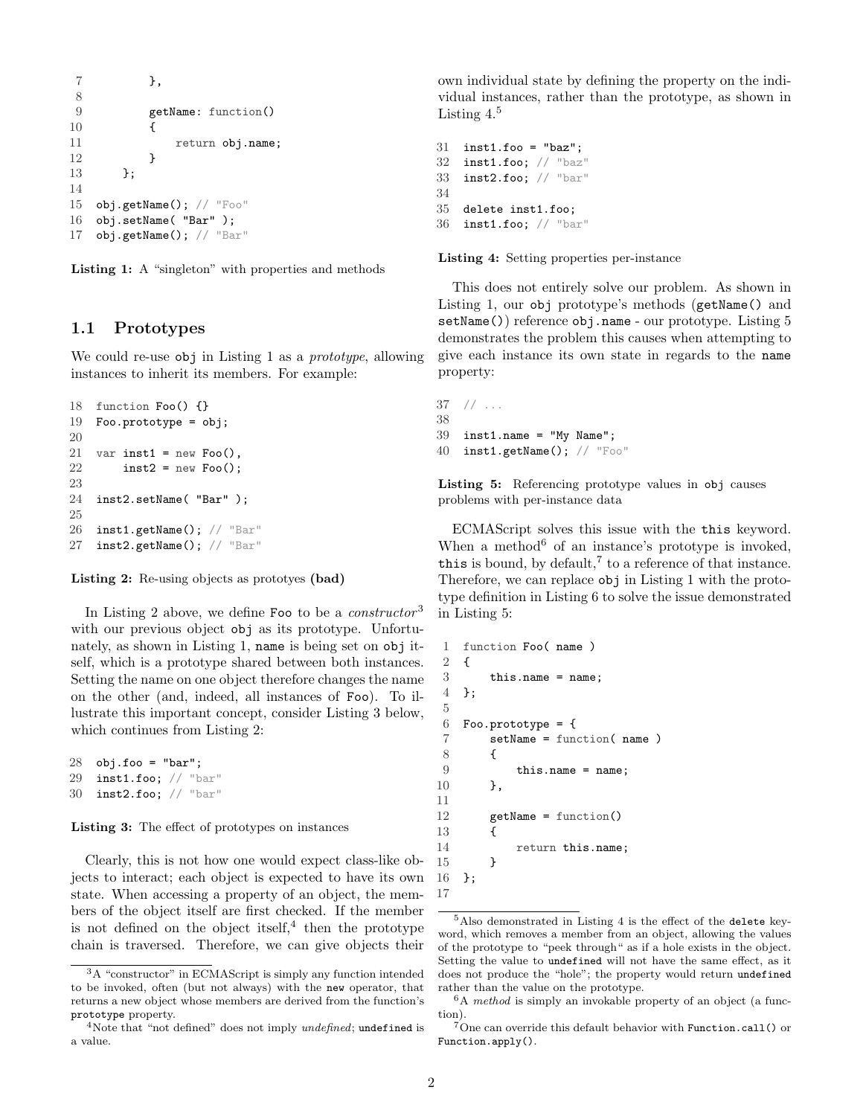```
7 },
8
9 getName: function()
10 {
11 return obj.name;
12 }
13    };
14
15 obj.getName(); // "Foo"
16 obj.setName( "Bar" );
17 obj.getName(); // "Bar"
```


## <span id="page-1-0"></span>1.1 Prototypes

We could re-use obj in Listing [1](#page-0-3) as a *prototype*, allowing instances to inherit its members. For example:

```
18 function Foo() {}
19 Foo.prototype = obj;
20
21 var inst1 = new Foo(),
22 inst2 = new Foo();
23
24 inst2.setName( "Bar" );
25
26 inst1.getName(); // "Bar"
27 inst2.getName(); // "Bar"
```
Listing 2: Re-using objects as prototyes (bad)

In Listing [2](#page-1-1) above, we define Foo to be a *constructor*<sup>[3](#page-1-2)</sup> with our previous object obj as its prototype. Unfortunately, as shown in Listing [1,](#page-0-3) name is being set on obj itself, which is a prototype shared between both instances. Setting the name on one object therefore changes the name on the other (and, indeed, all instances of Foo). To illustrate this important concept, consider Listing [3](#page-1-3) below, which continues from Listing [2:](#page-1-1)

```
28 obj.foo = "bar";
29 inst1.foo; // "bar"
30 inst2.foo; // "bar"
```
Listing 3: The effect of prototypes on instances

Clearly, this is not how one would expect class-like objects to interact; each object is expected to have its own state. When accessing a property of an object, the members of the object itself are first checked. If the member is not defined on the object itself,  $4$  then the prototype chain is traversed. Therefore, we can give objects their

own individual state by defining the property on the individual instances, rather than the prototype, as shown in Listing [4.](#page-1-5)<sup>[5](#page-1-6)</sup>

```
31 inst1.foo = "baz";
32 inst1.foo; // "baz"
33 inst2.foo; // "bar"
34
35 delete inst1.foo;
36 inst1.foo; // "bar"
```
Listing 4: Setting properties per-instance

This does not entirely solve our problem. As shown in Listing [1,](#page-0-3) our obj prototype's methods (getName() and setName()) reference obj.name - our prototype. Listing [5](#page-1-7) demonstrates the problem this causes when attempting to give each instance its own state in regards to the name property:

```
37 // ...
38
39 inst1.name = "My Name";
40 inst1.getName(); // "Foo"
```
Listing 5: Referencing prototype values in obj causes problems with per-instance data

ECMAScript solves this issue with the this keyword. When a method<sup>[6](#page-1-8)</sup> of an instance's prototype is invoked, this is bound, by default,<sup>[7](#page-1-9)</sup> to a reference of that instance. Therefore, we can replace obj in Listing [1](#page-0-3) with the prototype definition in Listing [6](#page-1-10) to solve the issue demonstrated in Listing [5:](#page-1-7)

```
1 function Foo( name )
2 {
3 this.name = name;
4 };
5
6 Foo.prototype = {
7 setName = function( name )
8 {
9 this.name = name;
10 },
11
12 getName = function()
13 {
14 return this.name;
15   }
16 };
17
```
<span id="page-1-2"></span><sup>3</sup>A "constructor" in ECMAScript is simply any function intended to be invoked, often (but not always) with the new operator, that returns a new object whose members are derived from the function's prototype property.

<span id="page-1-4"></span><sup>&</sup>lt;sup>4</sup>Note that "not defined" does not imply *undefined*; undefined is a value.

<span id="page-1-6"></span><sup>5</sup>Also demonstrated in Listing [4](#page-1-5) is the effect of the delete keyword, which removes a member from an object, allowing the values of the prototype to "peek through" as if a hole exists in the object. Setting the value to undefined will not have the same effect, as it does not produce the "hole"; the property would return undefined rather than the value on the prototype.

<span id="page-1-8"></span> $6A$  method is simply an invokable property of an object (a function).

<span id="page-1-9"></span> $7$ One can override this default behavior with Function.call() or Function.apply().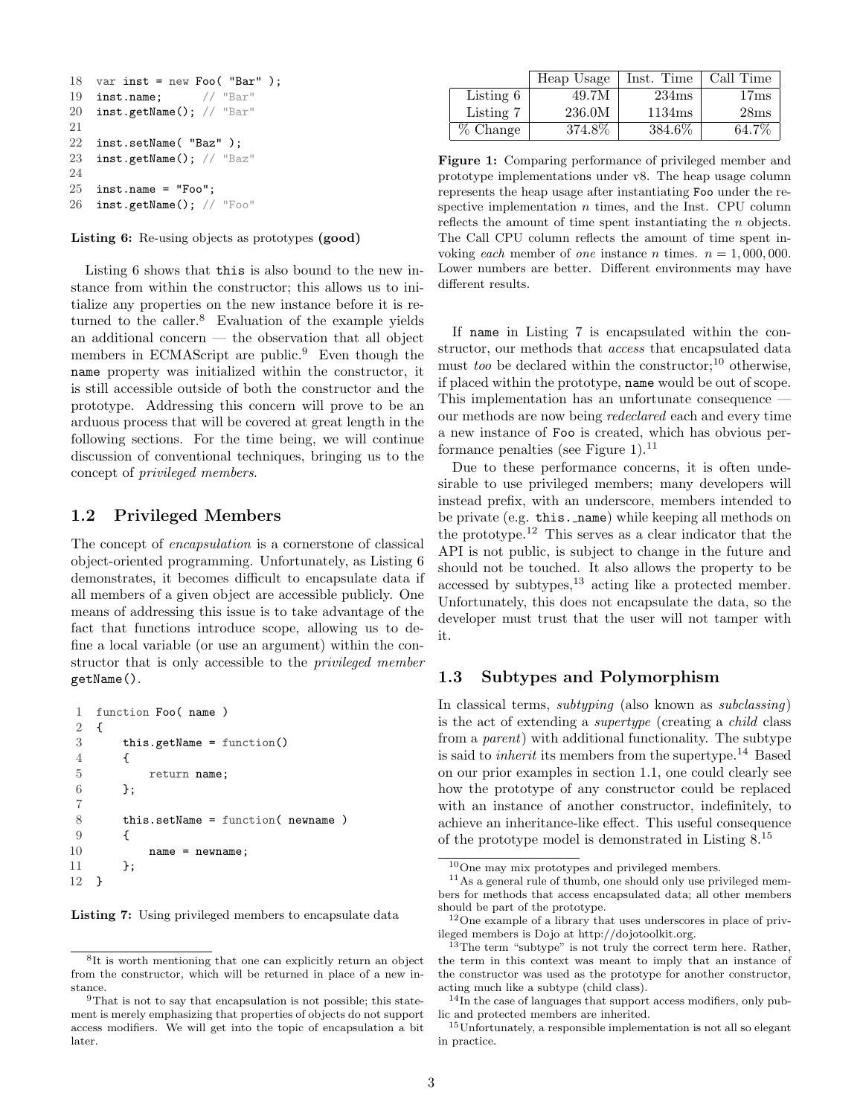```
18 var inst = new Foo( "Bar" );
19 inst.name; // "Bar"
20 inst.getName(); // "Bar"
21
22 inst.setName( "Baz" );
23 inst.getName(); // "Baz"
24
25 inst.name = "Foo";
26 inst.getName(); // "Foo"
```
Listing 6: Re-using objects as prototypes (good)

Listing [6](#page-1-10) shows that this is also bound to the new instance from within the constructor; this allows us to initialize any properties on the new instance before it is returned to the caller. $8$  Evaluation of the example yields an additional concern — the observation that all object members in ECMAScript are public.<sup>[9](#page-2-3)</sup> Even though the name property was initialized within the constructor, it is still accessible outside of both the constructor and the prototype. Addressing this concern will prove to be an arduous process that will be covered at great length in the following sections. For the time being, we will continue discussion of conventional techniques, bringing us to the concept of privileged members.

## <span id="page-2-0"></span>1.2 Privileged Members

The concept of encapsulation is a cornerstone of classical object-oriented programming. Unfortunately, as Listing [6](#page-1-10) demonstrates, it becomes difficult to encapsulate data if all members of a given object are accessible publicly. One means of addressing this issue is to take advantage of the fact that functions introduce scope, allowing us to define a local variable (or use an argument) within the constructor that is only accessible to the privileged member getName().

```
1 function Foo( name )
2 {
3 this.getName = function()
4 {
5 return name;
6 };
7
8 this.setName = function( newname )
9 {
10 name = newname;
11    };
12 }
```
Listing 7: Using privileged members to encapsulate data

<span id="page-2-6"></span>

|             | Heap Usage | Inst. Time | Call Time |
|-------------|------------|------------|-----------|
| Listing $6$ | 49.7M      | 234ms      | 17ms      |
| Listing 7   | 236.0M     | 1134ms     | 28ms      |
| $%$ Change  | 374.8%     | 384.6\%    | 64.7%     |

Figure 1: Comparing performance of privileged member and prototype implementations under v8. The heap usage column represents the heap usage after instantiating Foo under the respective implementation  $n$  times, and the Inst. CPU column reflects the amount of time spent instantiating the n objects. The Call CPU column reflects the amount of time spent invoking each member of one instance n times.  $n = 1,000,000$ . Lower numbers are better. Different environments may have different results.

If name in Listing [7](#page-2-4) is encapsulated within the constructor, our methods that access that encapsulated data must too be declared within the constructor;<sup>[10](#page-2-5)</sup> otherwise, if placed within the prototype, name would be out of scope. This implementation has an unfortunate consequence our methods are now being redeclared each and every time a new instance of Foo is created, which has obvious per-formance penalties (see Figure [1\)](#page-2-6). $^{11}$  $^{11}$  $^{11}$ 

Due to these performance concerns, it is often undesirable to use privileged members; many developers will instead prefix, with an underscore, members intended to be private (e.g. this. name) while keeping all methods on the prototype.[12](#page-2-8) This serves as a clear indicator that the API is not public, is subject to change in the future and should not be touched. It also allows the property to be accessed by subtypes, $^{13}$  $^{13}$  $^{13}$  acting like a protected member. Unfortunately, this does not encapsulate the data, so the developer must trust that the user will not tamper with it.

## <span id="page-2-1"></span>1.3 Subtypes and Polymorphism

In classical terms, subtyping (also known as subclassing) is the act of extending a supertype (creating a child class from a parent) with additional functionality. The subtype is said to *inherit* its members from the supertype.<sup>[14](#page-2-10)</sup> Based on our prior examples in section [1.1,](#page-1-0) one could clearly see how the prototype of any constructor could be replaced with an instance of another constructor, indefinitely, to achieve an inheritance-like effect. This useful consequence of the prototype model is demonstrated in Listing [8.](#page-3-0) [15](#page-2-11)

<span id="page-2-2"></span><sup>8</sup> It is worth mentioning that one can explicitly return an object from the constructor, which will be returned in place of a new instance.

<span id="page-2-3"></span><sup>&</sup>lt;sup>9</sup>That is not to say that encapsulation is not possible; this statement is merely emphasizing that properties of objects do not support access modifiers. We will get into the topic of encapsulation a bit later.

<span id="page-2-7"></span><span id="page-2-5"></span><sup>10</sup>One may mix prototypes and privileged members.

<sup>11</sup>As a general rule of thumb, one should only use privileged members for methods that access encapsulated data; all other members should be part of the prototype.

<span id="page-2-8"></span><sup>12</sup>One example of a library that uses underscores in place of privileged members is Dojo at http://dojotoolkit.org.

<span id="page-2-9"></span> $13$ The term "subtype" is not truly the correct term here. Rather, the term in this context was meant to imply that an instance of the constructor was used as the prototype for another constructor, acting much like a subtype (child class).

<span id="page-2-10"></span><sup>&</sup>lt;sup>14</sup>In the case of languages that support access modifiers, only public and protected members are inherited.

<span id="page-2-11"></span><sup>15</sup>Unfortunately, a responsible implementation is not all so elegant in practice.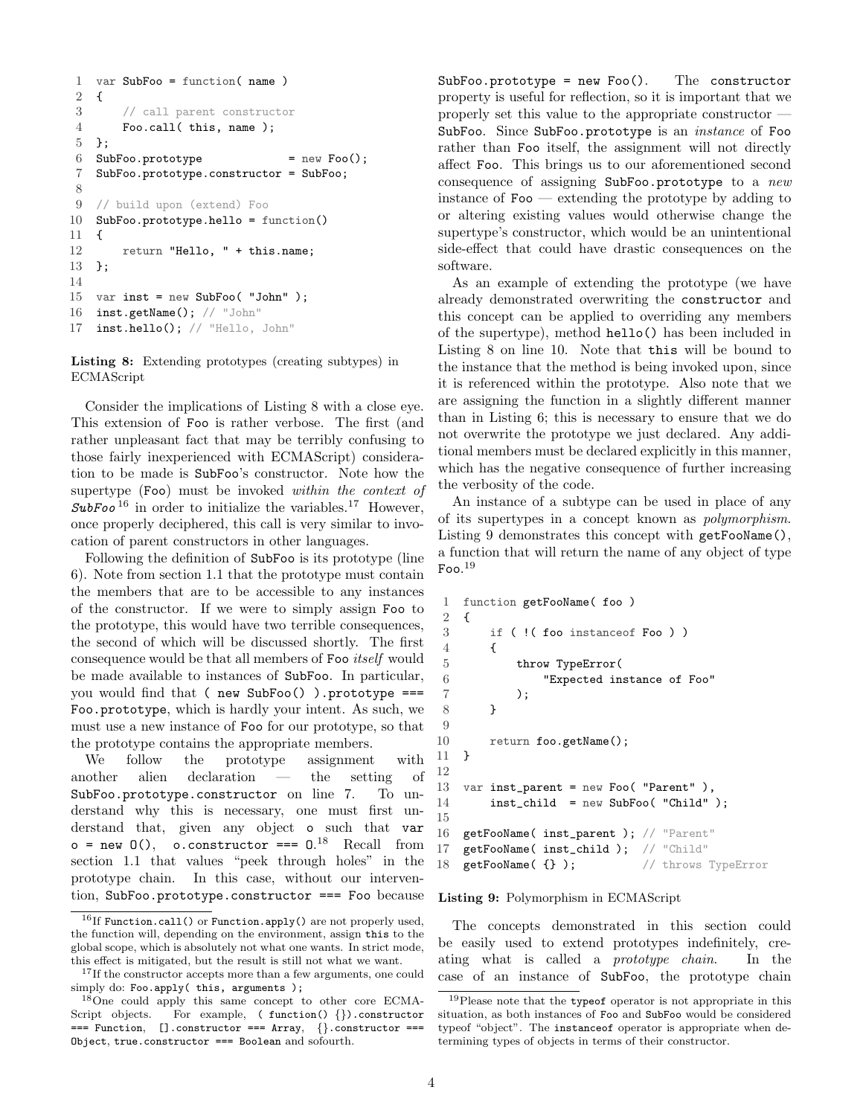```
1 var SubFoo = function( name )
2 {
3 // call parent constructor
4 Foo.call( this, name );
5 };
6 SubFoo.prototype = new Foo();
7 SubFoo.prototype.constructor = SubFoo;
8
9 // build upon (extend) Foo
10 SubFoo.prototype.hello = function()
11 {
12 return "Hello, " + this.name;
13 };
14
15 var inst = new SubFoo( "John" );
16 inst.getName(); // "John"
17 inst.hello(); // "Hello, John"
```
Listing 8: Extending prototypes (creating subtypes) in ECMAScript

Consider the implications of Listing [8](#page-3-0) with a close eye. This extension of Foo is rather verbose. The first (and rather unpleasant fact that may be terribly confusing to those fairly inexperienced with ECMAScript) consideration to be made is SubFoo's constructor. Note how the supertype (Foo) must be invoked within the context of  $SubFoo<sup>16</sup>$  $SubFoo<sup>16</sup>$  $SubFoo<sup>16</sup>$  in order to initialize the variables.<sup>[17](#page-3-2)</sup> However, once properly deciphered, this call is very similar to invocation of parent constructors in other languages.

Following the definition of SubFoo is its prototype (line 6). Note from section [1.1](#page-1-0) that the prototype must contain the members that are to be accessible to any instances of the constructor. If we were to simply assign Foo to the prototype, this would have two terrible consequences, the second of which will be discussed shortly. The first consequence would be that all members of Foo itself would be made available to instances of SubFoo. In particular, you would find that ( new SubFoo() ).prototype === Foo.prototype, which is hardly your intent. As such, we must use a new instance of Foo for our prototype, so that the prototype contains the appropriate members.

We follow the prototype assignment with another alien declaration — the setting of SubFoo.prototype.constructor on line 7. To understand why this is necessary, one must first understand that, given any object o such that var  $o = new O(1)$ , o.constructor ===  $0.^{18}$  $0.^{18}$  $0.^{18}$  Recall from section [1.1](#page-1-0) that values "peek through holes" in the prototype chain. In this case, without our intervention, SubFoo.prototype.constructor === Foo because SubFoo.prototype = new Foo(). The constructor property is useful for reflection, so it is important that we properly set this value to the appropriate constructor — SubFoo. Since SubFoo.prototype is an instance of Foo rather than Foo itself, the assignment will not directly affect Foo. This brings us to our aforementioned second consequence of assigning SubFoo.prototype to a new instance of  $\mathbf{Foo}$  — extending the prototype by adding to or altering existing values would otherwise change the supertype's constructor, which would be an unintentional side-effect that could have drastic consequences on the software.

As an example of extending the prototype (we have already demonstrated overwriting the constructor and this concept can be applied to overriding any members of the supertype), method hello() has been included in Listing [8](#page-3-0) on line 10. Note that this will be bound to the instance that the method is being invoked upon, since it is referenced within the prototype. Also note that we are assigning the function in a slightly different manner than in Listing [6;](#page-1-10) this is necessary to ensure that we do not overwrite the prototype we just declared. Any additional members must be declared explicitly in this manner, which has the negative consequence of further increasing the verbosity of the code.

An instance of a subtype can be used in place of any of its supertypes in a concept known as polymorphism. Listing [9](#page-3-4) demonstrates this concept with getFooName(), a function that will return the name of any object of type  $\rm{Foo.}^{19}$  $\rm{Foo.}^{19}$  $\rm{Foo.}^{19}$ 

```
1 function getFooName( foo )
2 {
3 if ( !( foo instanceof Foo ) )
4 {
5 throw TypeError(
6 "Expected instance of Foo"
7 );
8 }
9
10 return foo.getName();
11 }
12
13 var inst_parent = new Foo( "Parent" ),
14 inst_child = new SubFoo( "Child" );
15
16 getFooName( inst_parent ); // "Parent"
17 getFooName( inst_child ); // "Child"
18 getFooName( {} ); // throws TypeError
```
#### Listing 9: Polymorphism in ECMAScript

The concepts demonstrated in this section could be easily used to extend prototypes indefinitely, creating what is called a prototype chain. In the case of an instance of SubFoo, the prototype chain

<span id="page-3-1"></span> $^{16}{\rm If}$  Function.call() or Function.apply() are not properly used, the function will, depending on the environment, assign this to the global scope, which is absolutely not what one wants. In strict mode, this effect is mitigated, but the result is still not what we want.

<span id="page-3-2"></span><sup>&</sup>lt;sup>17</sup>If the constructor accepts more than a few arguments, one could simply do: Foo.apply( this, arguments );

<span id="page-3-3"></span><sup>18</sup>One could apply this same concept to other core ECMA-Script objects. For example, ( function() {}).constructor === Function, [].constructor === Array, {}.constructor === Object, true.constructor === Boolean and sofourth.

<span id="page-3-5"></span><sup>&</sup>lt;sup>19</sup>Please note that the typeof operator is not appropriate in this situation, as both instances of Foo and SubFoo would be considered typeof "object". The instanceof operator is appropriate when determining types of objects in terms of their constructor.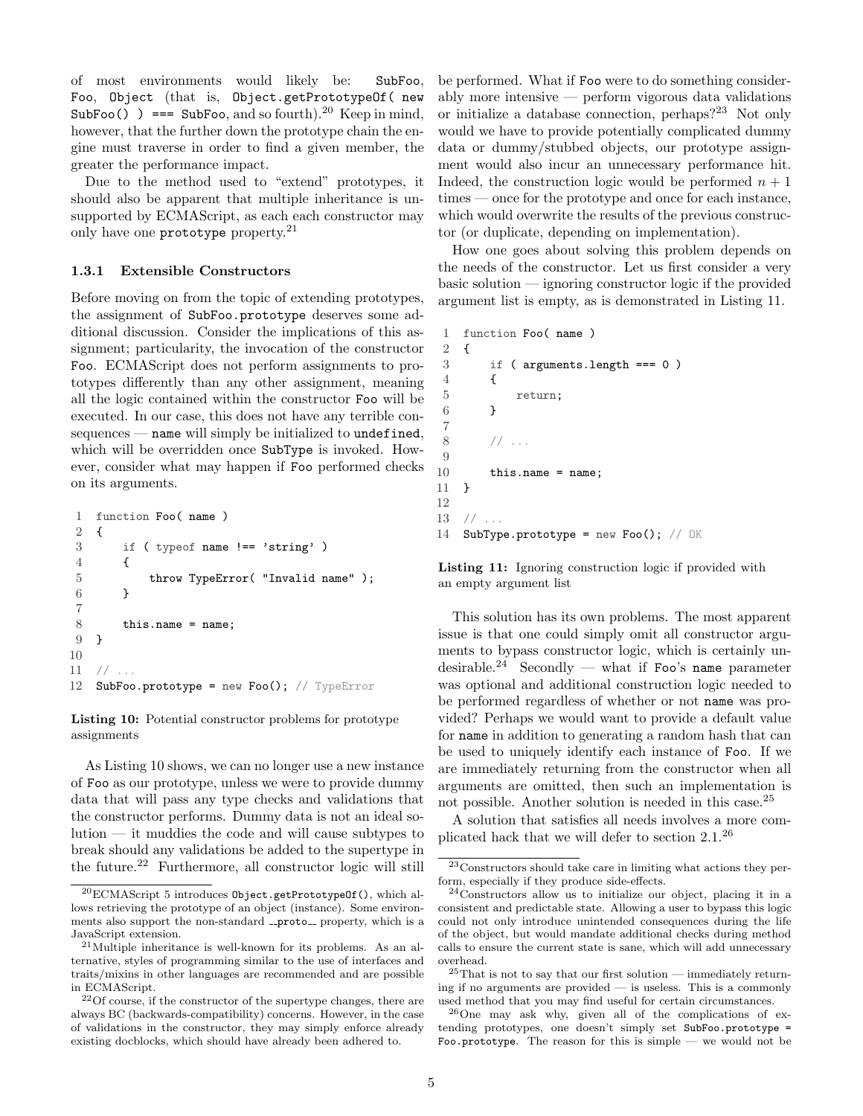of most environments would likely be: SubFoo, Foo, Object (that is, Object.getPrototypeOf( new SubFoo() ) === SubFoo, and so fourth).<sup>[20](#page-4-1)</sup> Keep in mind, however, that the further down the prototype chain the engine must traverse in order to find a given member, the greater the performance impact.

Due to the method used to "extend" prototypes, it should also be apparent that multiple inheritance is unsupported by ECMAScript, as each each constructor may only have one prototype property.<sup>[21](#page-4-2)</sup>

#### <span id="page-4-0"></span>1.3.1 Extensible Constructors

Before moving on from the topic of extending prototypes, the assignment of SubFoo.prototype deserves some additional discussion. Consider the implications of this assignment; particularity, the invocation of the constructor Foo. ECMAScript does not perform assignments to prototypes differently than any other assignment, meaning all the logic contained within the constructor Foo will be executed. In our case, this does not have any terrible consequences — name will simply be initialized to undefined, which will be overridden once SubType is invoked. However, consider what may happen if Foo performed checks on its arguments.

```
1 function Foo( name )
2 {
3 if ( typeof name !== 'string' )
4 {
5 throw TypeError( "Invalid name" );
6 }
7
8 this.name = name;
9 }
10
11 // ...
12 SubFoo.prototype = new Foo(); // TypeError
```
Listing 10: Potential constructor problems for prototype assignments

As Listing [10](#page-4-3) shows, we can no longer use a new instance of Foo as our prototype, unless we were to provide dummy data that will pass any type checks and validations that the constructor performs. Dummy data is not an ideal solution — it muddies the code and will cause subtypes to break should any validations be added to the supertype in the future.<sup>[22](#page-4-4)</sup> Furthermore, all constructor logic will still be performed. What if Foo were to do something considerably more intensive — perform vigorous data validations or initialize a database connection, perhaps?<sup>[23](#page-4-5)</sup> Not only would we have to provide potentially complicated dummy data or dummy/stubbed objects, our prototype assignment would also incur an unnecessary performance hit. Indeed, the construction logic would be performed  $n + 1$ times — once for the prototype and once for each instance, which would overwrite the results of the previous constructor (or duplicate, depending on implementation).

How one goes about solving this problem depends on the needs of the constructor. Let us first consider a very basic solution — ignoring constructor logic if the provided argument list is empty, as is demonstrated in Listing [11.](#page-4-6)

```
1 function Foo( name )
 2 {
 3 if ( arguments.length === 0 )
 4 {
 \begin{array}{cc} 5 & \text{return;} \\ 6 & \text{ } \end{array}\mathcal{F}7
 8 // ...
 \overline{Q}10 this.name = name;
11 }
12
13 //
14 SubType.prototype = new Foo(); // OK
```
Listing 11: Ignoring construction logic if provided with an empty argument list

This solution has its own problems. The most apparent issue is that one could simply omit all constructor arguments to bypass constructor logic, which is certainly un-desirable.<sup>[24](#page-4-7)</sup> Secondly — what if  $\texttt{Foo's name parameter}$ was optional and additional construction logic needed to be performed regardless of whether or not name was provided? Perhaps we would want to provide a default value for name in addition to generating a random hash that can be used to uniquely identify each instance of Foo. If we are immediately returning from the constructor when all arguments are omitted, then such an implementation is not possible. Another solution is needed in this case.[25](#page-4-8)

A solution that satisfies all needs involves a more complicated hack that we will defer to section [2.1.](#page-5-2) [26](#page-4-9)

<span id="page-4-9"></span><sup>26</sup>One may ask why, given all of the complications of extending prototypes, one doesn't simply set SubFoo.prototype = Foo.prototype. The reason for this is simple — we would not be

<span id="page-4-1"></span><sup>20</sup>ECMAScript 5 introduces Object.getPrototypeOf(), which allows retrieving the prototype of an object (instance). Some environments also support the non-standard \_proto\_property, which is a JavaScript extension.

<span id="page-4-2"></span> $^{21}$ Multiple inheritance is well-known for its problems. As an alternative, styles of programming similar to the use of interfaces and traits/mixins in other languages are recommended and are possible in ECMAScript.

<span id="page-4-4"></span> $22^2$ Of course, if the constructor of the supertype changes, there are always BC (backwards-compatibility) concerns. However, in the case of validations in the constructor, they may simply enforce already existing docblocks, which should have already been adhered to.

<span id="page-4-5"></span> $^{23}\mathrm{Constructors}$  should take care in limiting what actions they perform, especially if they produce side-effects.

<span id="page-4-7"></span><sup>24</sup>Constructors allow us to initialize our object, placing it in a consistent and predictable state. Allowing a user to bypass this logic could not only introduce unintended consequences during the life of the object, but would mandate additional checks during method calls to ensure the current state is sane, which will add unnecessary overhead.

<span id="page-4-8"></span> $25$ That is not to say that our first solution — immediately returning if no arguments are provided — is useless. This is a commonly used method that you may find useful for certain circumstances.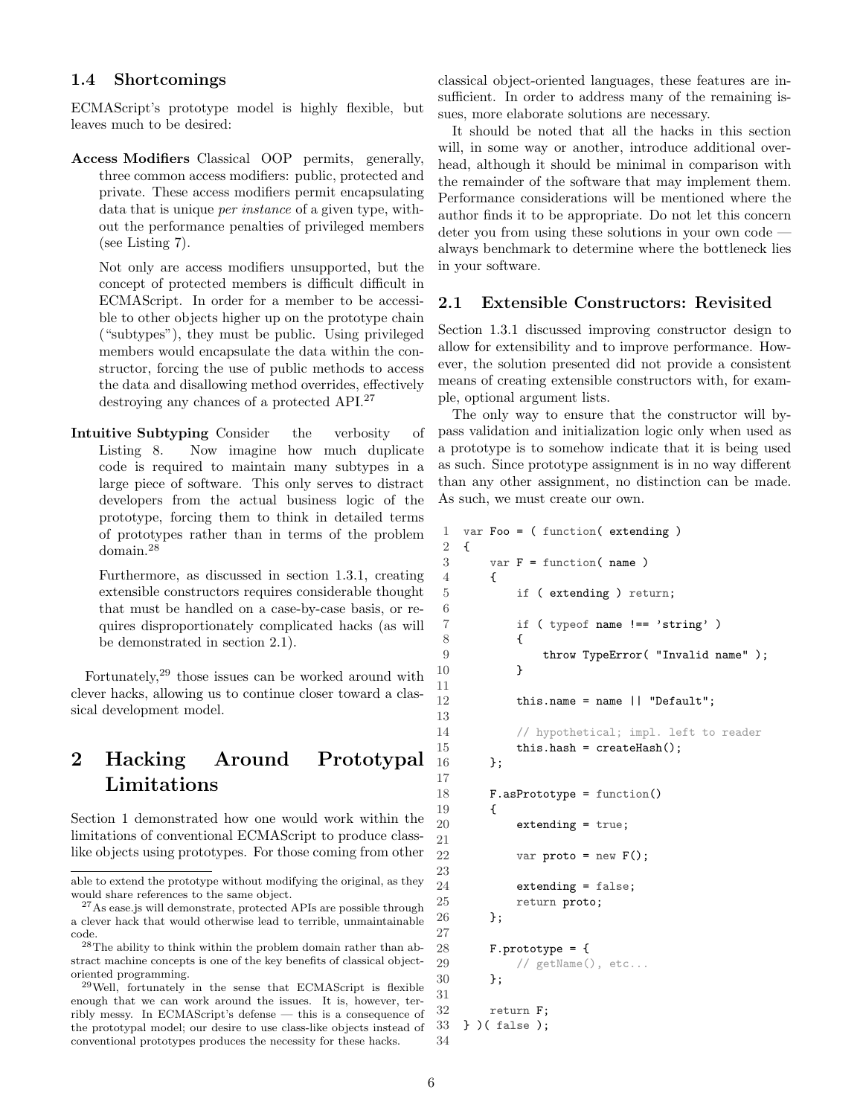#### <span id="page-5-0"></span>1.4 Shortcomings

ECMAScript's prototype model is highly flexible, but leaves much to be desired:

Access Modifiers Classical OOP permits, generally, three common access modifiers: public, protected and private. These access modifiers permit encapsulating data that is unique *per instance* of a given type, without the performance penalties of privileged members (see Listing [7\)](#page-2-4).

Not only are access modifiers unsupported, but the concept of protected members is difficult difficult in ECMAScript. In order for a member to be accessible to other objects higher up on the prototype chain ("subtypes"), they must be public. Using privileged members would encapsulate the data within the constructor, forcing the use of public methods to access the data and disallowing method overrides, effectively destroying any chances of a protected API.[27](#page-5-3)

Intuitive Subtyping Consider the verbosity of Listing [8.](#page-3-0) Now imagine how much duplicate code is required to maintain many subtypes in a large piece of software. This only serves to distract developers from the actual business logic of the prototype, forcing them to think in detailed terms of prototypes rather than in terms of the problem domain.[28](#page-5-4)

Furthermore, as discussed in section [1.3.1,](#page-4-0) creating extensible constructors requires considerable thought that must be handled on a case-by-case basis, or requires disproportionately complicated hacks (as will be demonstrated in section [2.1\)](#page-5-2).

Fortunately,[29](#page-5-5) those issues can be worked around with clever hacks, allowing us to continue closer toward a classical development model.

# <span id="page-5-1"></span>2 Hacking Around Prototypal Limitations

Section [1](#page-0-1) demonstrated how one would work within the limitations of conventional ECMAScript to produce classlike objects using prototypes. For those coming from other classical object-oriented languages, these features are insufficient. In order to address many of the remaining issues, more elaborate solutions are necessary.

It should be noted that all the hacks in this section will, in some way or another, introduce additional overhead, although it should be minimal in comparison with the remainder of the software that may implement them. Performance considerations will be mentioned where the author finds it to be appropriate. Do not let this concern deter you from using these solutions in your own code always benchmark to determine where the bottleneck lies in your software.

## <span id="page-5-2"></span>2.1 Extensible Constructors: Revisited

Section [1.3.1](#page-4-0) discussed improving constructor design to allow for extensibility and to improve performance. However, the solution presented did not provide a consistent means of creating extensible constructors with, for example, optional argument lists.

The only way to ensure that the constructor will bypass validation and initialization logic only when used as a prototype is to somehow indicate that it is being used as such. Since prototype assignment is in no way different than any other assignment, no distinction can be made. As such, we must create our own.

```
1 var Foo = ( function( extending )
2 {
3 \text{ var } F = \text{function} (\text{ name } )4 {
5 if ( extending ) return;
 7 if ( typeof name !== 'string' )
 8 {
9 throw TypeError( "Invalid name" );
10 }
12 this.name = name || "Default";
14 // hypothetical; impl. left to reader
15 this.hash = createHash();
16   };
18 F.asPrototype = function()
19 {
20 extending = true;
22 var proto = new F();
24 extending = false;
25 return proto;
26 };
28 F.prototype = {
29 // getName(), etc...
30 };
32 return F;
33 } )( false );
```
6

11

13

17

21

23

27

31

able to extend the prototype without modifying the original, as they would share references to the same object.

<span id="page-5-3"></span><sup>27</sup>As ease.js will demonstrate, protected APIs are possible through a clever hack that would otherwise lead to terrible, unmaintainable code.

<span id="page-5-4"></span><sup>28</sup>The ability to think within the problem domain rather than abstract machine concepts is one of the key benefits of classical objectoriented programming.

<span id="page-5-5"></span><sup>29</sup>Well, fortunately in the sense that ECMAScript is flexible enough that we can work around the issues. It is, however, terribly messy. In ECMAScript's defense — this is a consequence of the prototypal model; our desire to use class-like objects instead of conventional prototypes produces the necessity for these hacks.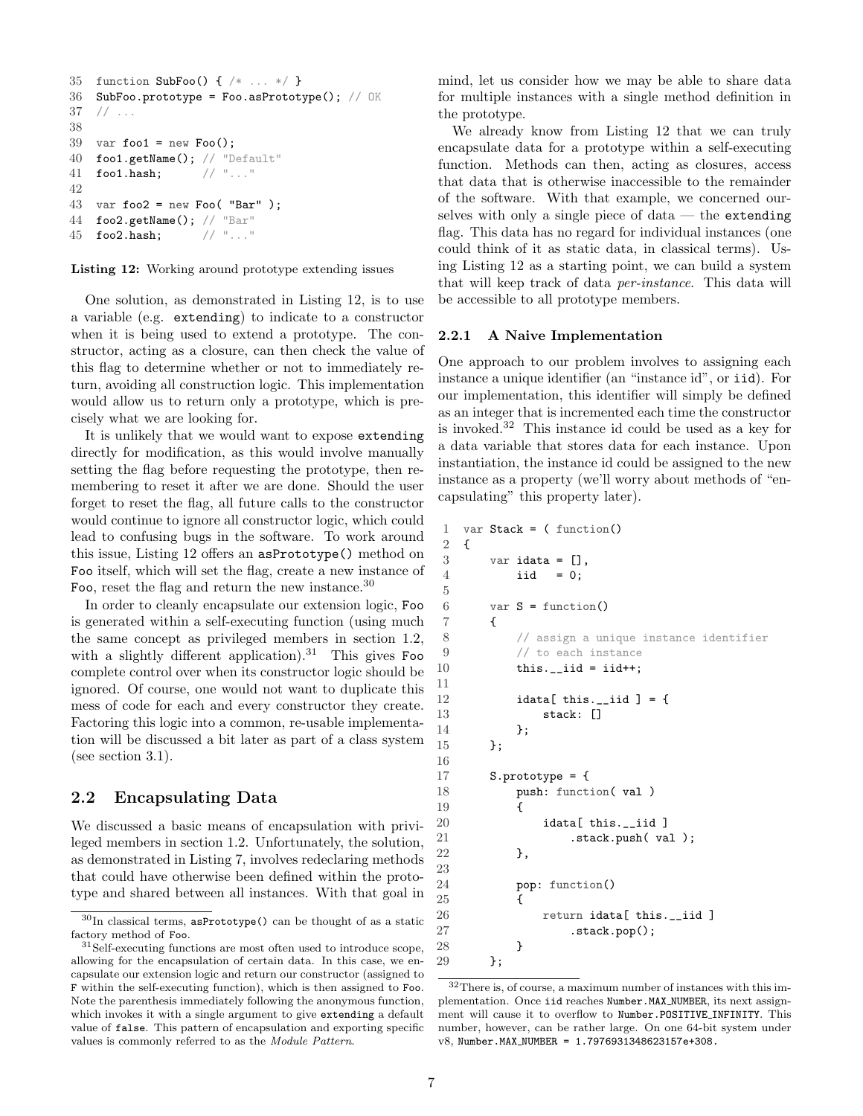```
35 function SubFoo() { /* \ldots */36 SubFoo.prototype = Foo.asPrototype(); // OK
37 // ...
38
39 var foo1 = new Foo();
40 foo1.getName(); // "Default"
41 foo1.hash; // "..."
42
43 var foo2 = new Foo( "Bar");
44 foo2.getName(); // "Bar"
45 foo2.hash; // "..."
```
Listing 12: Working around prototype extending issues

One solution, as demonstrated in Listing [12,](#page-5-6) is to use a variable (e.g. extending) to indicate to a constructor when it is being used to extend a prototype. The constructor, acting as a closure, can then check the value of this flag to determine whether or not to immediately return, avoiding all construction logic. This implementation would allow us to return only a prototype, which is precisely what we are looking for.

It is unlikely that we would want to expose extending directly for modification, as this would involve manually setting the flag before requesting the prototype, then remembering to reset it after we are done. Should the user forget to reset the flag, all future calls to the constructor would continue to ignore all constructor logic, which could lead to confusing bugs in the software. To work around this issue, Listing [12](#page-5-6) offers an asPrototype() method on Foo itself, which will set the flag, create a new instance of Foo, reset the flag and return the new instance.[30](#page-6-2)

In order to cleanly encapsulate our extension logic, Foo is generated within a self-executing function (using much the same concept as privileged members in section [1.2,](#page-2-0) with a slightly different application).<sup>[31](#page-6-3)</sup> This gives Foo complete control over when its constructor logic should be ignored. Of course, one would not want to duplicate this mess of code for each and every constructor they create. Factoring this logic into a common, re-usable implementation will be discussed a bit later as part of a class system (see section [3.1\)](#page-14-0).

# <span id="page-6-0"></span>2.2 Encapsulating Data

We discussed a basic means of encapsulation with privileged members in section [1.2.](#page-2-0) Unfortunately, the solution, as demonstrated in Listing [7,](#page-2-4) involves redeclaring methods that could have otherwise been defined within the prototype and shared between all instances. With that goal in

mind, let us consider how we may be able to share data for multiple instances with a single method definition in the prototype.

We already know from Listing [12](#page-5-6) that we can truly encapsulate data for a prototype within a self-executing function. Methods can then, acting as closures, access that data that is otherwise inaccessible to the remainder of the software. With that example, we concerned ourselves with only a single piece of data  $-$  the extending flag. This data has no regard for individual instances (one could think of it as static data, in classical terms). Using Listing [12](#page-5-6) as a starting point, we can build a system that will keep track of data per-instance. This data will be accessible to all prototype members.

## <span id="page-6-1"></span>2.2.1 A Naive Implementation

One approach to our problem involves to assigning each instance a unique identifier (an "instance id", or iid). For our implementation, this identifier will simply be defined as an integer that is incremented each time the constructor is invoked.[32](#page-6-4) This instance id could be used as a key for a data variable that stores data for each instance. Upon instantiation, the instance id could be assigned to the new instance as a property (we'll worry about methods of "encapsulating" this property later).

```
1 var Stack = ( function()
2 {
3 \text{ var } idata = [],
4 iid = 0;
6 var S = function()7 {
8 // assign a unique instance identifier
9 // to each instance
10 this.__iid = iid++;12 idata[ this.__iid ] = {13 stack: []
14 };
15 };
17 S.prototype = {
18 push: function( val )
19 {
20 idata[ this.__iid ]
21 .stack.push(val);
22 },
24 pop: function()
25 {
26 return idata[ this.__iid ]<br>27 stack.pop():
              .stack.pop();
28 }
29 };
```
5

11

16

<span id="page-6-2"></span> $^{30}\mathrm{In}$  classical terms,  $\texttt{asPrototype}$  () can be thought of as a static factory method of Foo.

<span id="page-6-3"></span><sup>&</sup>lt;sup>31</sup>Self-executing functions are most often used to introduce scope, allowing for the encapsulation of certain data. In this case, we encapsulate our extension logic and return our constructor (assigned to F within the self-executing function), which is then assigned to Foo. Note the parenthesis immediately following the anonymous function, which invokes it with a single argument to give extending a default value of false. This pattern of encapsulation and exporting specific values is commonly referred to as the Module Pattern.

<span id="page-6-4"></span><sup>32</sup>There is, of course, a maximum number of instances with this implementation. Once iid reaches Number.MAX NUMBER, its next assignment will cause it to overflow to Number.POSITIVE INFINITY. This number, however, can be rather large. On one 64-bit system under v8, Number.MAX NUMBER = 1.7976931348623157e+308.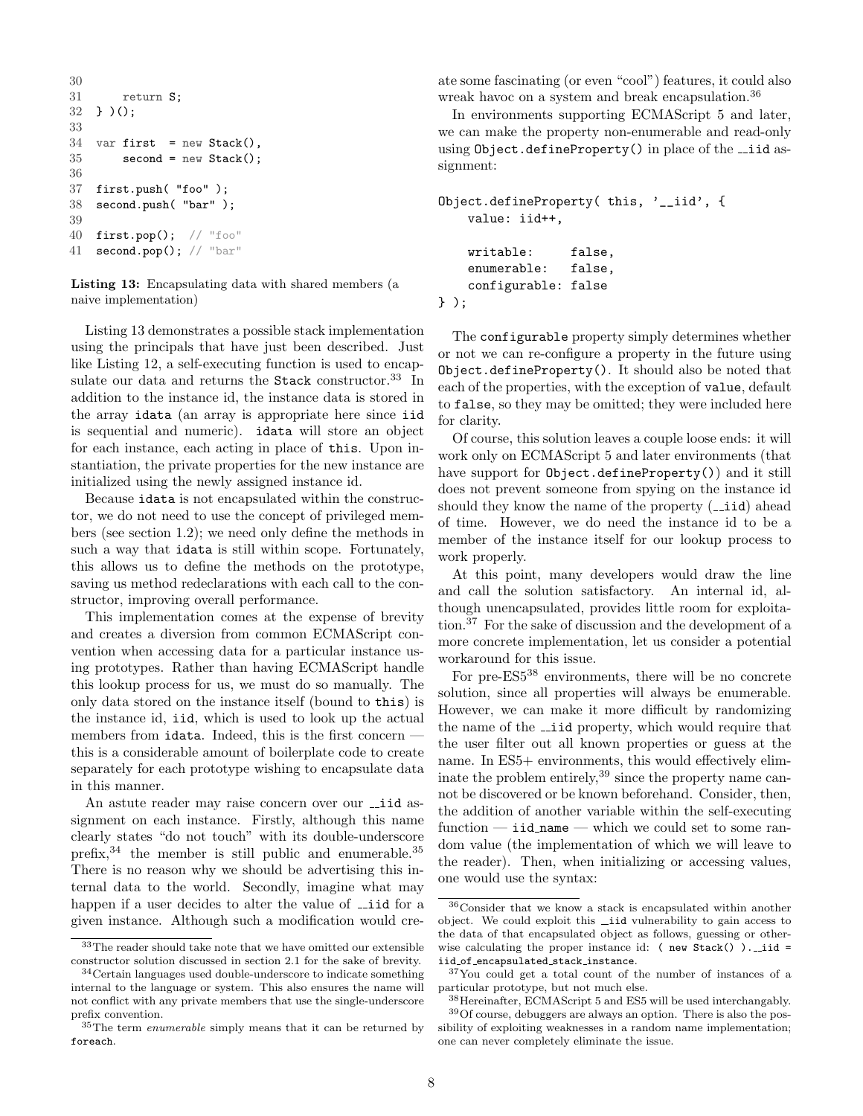```
30
31 return S;
32 } )();
33
34 var first = new Stack(),
35 second = new Stack();
36
37 first.push( "foo" );
38 second.push( "bar" );
39
40 first.pop(); // "foo"
41 second.pop(); // "bar"
```
Listing 13: Encapsulating data with shared members (a naive implementation)

Listing [13](#page-6-5) demonstrates a possible stack implementation using the principals that have just been described. Just like Listing [12,](#page-5-6) a self-executing function is used to encap-sulate our data and returns the Stack constructor.<sup>[33](#page-7-0)</sup> In addition to the instance id, the instance data is stored in the array idata (an array is appropriate here since iid is sequential and numeric). idata will store an object for each instance, each acting in place of this. Upon instantiation, the private properties for the new instance are initialized using the newly assigned instance id.

Because idata is not encapsulated within the constructor, we do not need to use the concept of privileged members (see section [1.2\)](#page-2-0); we need only define the methods in such a way that idata is still within scope. Fortunately, this allows us to define the methods on the prototype, saving us method redeclarations with each call to the constructor, improving overall performance.

This implementation comes at the expense of brevity and creates a diversion from common ECMAScript convention when accessing data for a particular instance using prototypes. Rather than having ECMAScript handle this lookup process for us, we must do so manually. The only data stored on the instance itself (bound to this) is the instance id, iid, which is used to look up the actual members from idata. Indeed, this is the first concern – this is a considerable amount of boilerplate code to create separately for each prototype wishing to encapsulate data in this manner.

An astute reader may raise concern over our  $\overline{\phantom{a}}$  id assignment on each instance. Firstly, although this name clearly states "do not touch" with its double-underscore prefix,  $34$  the member is still public and enumerable.  $35$ There is no reason why we should be advertising this internal data to the world. Secondly, imagine what may happen if a user decides to alter the value of  $\overline{\phantom{a}}$  id for a given instance. Although such a modification would cre-

<span id="page-7-0"></span><sup>33</sup>The reader should take note that we have omitted our extensible constructor solution discussed in section [2.1](#page-5-2) for the sake of brevity.

<span id="page-7-1"></span><sup>34</sup>Certain languages used double-underscore to indicate something internal to the language or system. This also ensures the name will not conflict with any private members that use the single-underscore prefix convention.

<span id="page-7-2"></span><sup>35</sup>The term *enumerable* simply means that it can be returned by foreach.

ate some fascinating (or even "cool") features, it could also wreak havoc on a system and break encapsulation.<sup>[36](#page-7-3)</sup>

In environments supporting ECMAScript 5 and later, we can make the property non-enumerable and read-only using  $Object.defineProperty()$  in place of the  $\_iid$  assignment:

```
Object.defineProperty( this, '__iid', {
    value: iid++,
   writable: false,
    enumerable: false,
    configurable: false
} );
```
The configurable property simply determines whether or not we can re-configure a property in the future using Object.defineProperty(). It should also be noted that each of the properties, with the exception of value, default to false, so they may be omitted; they were included here for clarity.

Of course, this solution leaves a couple loose ends: it will work only on ECMAScript 5 and later environments (that have support for Object.defineProperty()) and it still does not prevent someone from spying on the instance id should they know the name of the property  $($ *\_iid* $)$  ahead of time. However, we do need the instance id to be a member of the instance itself for our lookup process to work properly.

At this point, many developers would draw the line and call the solution satisfactory. An internal id, although unencapsulated, provides little room for exploitation.[37](#page-7-4) For the sake of discussion and the development of a more concrete implementation, let us consider a potential workaround for this issue.

For pre-ES5[38](#page-7-5) environments, there will be no concrete solution, since all properties will always be enumerable. However, we can make it more difficult by randomizing the name of the  $\overline{\phantom{a}}$  iid property, which would require that the user filter out all known properties or guess at the name. In ES5+ environments, this would effectively eliminate the problem entirely,  $39$  since the property name cannot be discovered or be known beforehand. Consider, then, the addition of another variable within the self-executing function  $-$  iid name  $-$  which we could set to some random value (the implementation of which we will leave to the reader). Then, when initializing or accessing values, one would use the syntax:

<span id="page-7-3"></span><sup>36</sup>Consider that we know a stack is encapsulated within another object. We could exploit this ...iid vulnerability to gain access to the data of that encapsulated object as follows, guessing or otherwise calculating the proper instance id:  $($  new Stack $()$   $)$ . . iid = iid of encapsulated stack instance.

<span id="page-7-4"></span><sup>37</sup>You could get a total count of the number of instances of a particular prototype, but not much else.

<span id="page-7-6"></span><span id="page-7-5"></span><sup>38</sup>Hereinafter, ECMAScript 5 and ES5 will be used interchangably.  $^{39}{\rm Of}$  course, debuggers are always an option. There is also the pos-

sibility of exploiting weaknesses in a random name implementation; one can never completely eliminate the issue.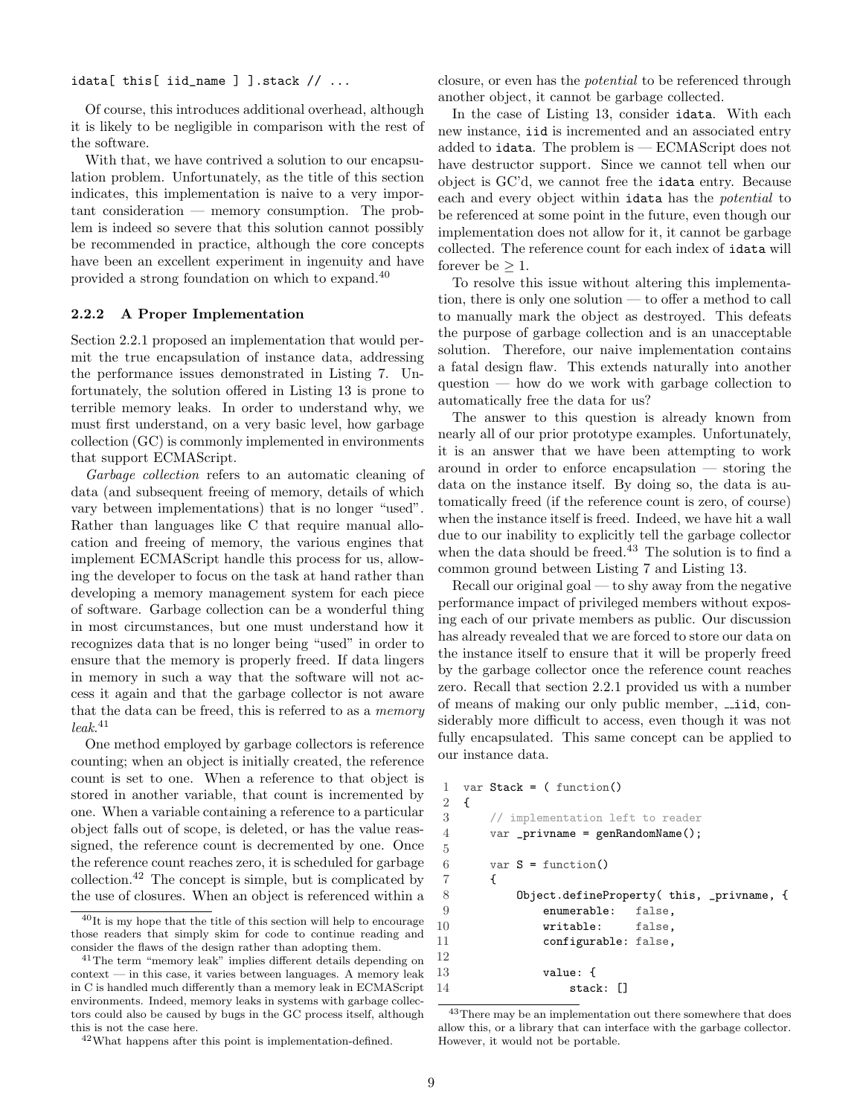idata[ this[ iid\_name ] ].stack  $// \dots$ 

Of course, this introduces additional overhead, although it is likely to be negligible in comparison with the rest of the software.

With that, we have contrived a solution to our encapsulation problem. Unfortunately, as the title of this section indicates, this implementation is naive to a very important consideration — memory consumption. The problem is indeed so severe that this solution cannot possibly be recommended in practice, although the core concepts have been an excellent experiment in ingenuity and have provided a strong foundation on which to expand.[40](#page-8-1)

#### <span id="page-8-0"></span>2.2.2 A Proper Implementation

Section [2.2.1](#page-6-1) proposed an implementation that would permit the true encapsulation of instance data, addressing the performance issues demonstrated in Listing [7.](#page-2-4) Unfortunately, the solution offered in Listing [13](#page-6-5) is prone to terrible memory leaks. In order to understand why, we must first understand, on a very basic level, how garbage collection (GC) is commonly implemented in environments that support ECMAScript.

Garbage collection refers to an automatic cleaning of data (and subsequent freeing of memory, details of which vary between implementations) that is no longer "used". Rather than languages like C that require manual allocation and freeing of memory, the various engines that implement ECMAScript handle this process for us, allowing the developer to focus on the task at hand rather than developing a memory management system for each piece of software. Garbage collection can be a wonderful thing in most circumstances, but one must understand how it recognizes data that is no longer being "used" in order to ensure that the memory is properly freed. If data lingers in memory in such a way that the software will not access it again and that the garbage collector is not aware that the data can be freed, this is referred to as a memory  $leak.$ <sup>[41](#page-8-2)</sup>

One method employed by garbage collectors is reference counting; when an object is initially created, the reference count is set to one. When a reference to that object is stored in another variable, that count is incremented by one. When a variable containing a reference to a particular object falls out of scope, is deleted, or has the value reassigned, the reference count is decremented by one. Once the reference count reaches zero, it is scheduled for garbage collection.[42](#page-8-3) The concept is simple, but is complicated by the use of closures. When an object is referenced within a

<span id="page-8-3"></span><sup>42</sup>What happens after this point is implementation-defined.

closure, or even has the potential to be referenced through another object, it cannot be garbage collected.

In the case of Listing [13,](#page-6-5) consider idata. With each new instance, iid is incremented and an associated entry added to idata. The problem is — ECMAScript does not have destructor support. Since we cannot tell when our object is GC'd, we cannot free the idata entry. Because each and every object within idata has the potential to be referenced at some point in the future, even though our implementation does not allow for it, it cannot be garbage collected. The reference count for each index of idata will forever be  $\geq 1$ .

To resolve this issue without altering this implementation, there is only one solution — to offer a method to call to manually mark the object as destroyed. This defeats the purpose of garbage collection and is an unacceptable solution. Therefore, our naive implementation contains a fatal design flaw. This extends naturally into another question — how do we work with garbage collection to automatically free the data for us?

The answer to this question is already known from nearly all of our prior prototype examples. Unfortunately, it is an answer that we have been attempting to work around in order to enforce encapsulation — storing the data on the instance itself. By doing so, the data is automatically freed (if the reference count is zero, of course) when the instance itself is freed. Indeed, we have hit a wall due to our inability to explicitly tell the garbage collector when the data should be freed.<sup>[43](#page-8-4)</sup> The solution is to find a common ground between Listing [7](#page-2-4) and Listing [13.](#page-6-5)

Recall our original goal — to shy away from the negative performance impact of privileged members without exposing each of our private members as public. Our discussion has already revealed that we are forced to store our data on the instance itself to ensure that it will be properly freed by the garbage collector once the reference count reaches zero. Recall that section [2.2.1](#page-6-1) provided us with a number of means of making our only public member,  $\overline{\phantom{a}}$  id, considerably more difficult to access, even though it was not fully encapsulated. This same concept can be applied to our instance data.

```
1 var Stack = ( function()
2 {
3 // implementation left to reader
4 var _privname = genRandomName();
5
6 var S = function()7 {
8 Object.defineProperty( this, _privname, {
9 enumerable: false,
10 writable: false,
11 configurable: false,
13 value: {
14 stack: []
```
<span id="page-8-1"></span> $^{40}\mathrm{It}$  is my hope that the title of this section will help to encourage those readers that simply skim for code to continue reading and consider the flaws of the design rather than adopting them.

<span id="page-8-2"></span><sup>41</sup>The term "memory leak" implies different details depending on context — in this case, it varies between languages. A memory leak in C is handled much differently than a memory leak in ECMAScript environments. Indeed, memory leaks in systems with garbage collectors could also be caused by bugs in the GC process itself, although this is not the case here.

<span id="page-8-4"></span> $\rm ^{43}$  There may be an implementation out there somewhere that does allow this, or a library that can interface with the garbage collector. However, it would not be portable.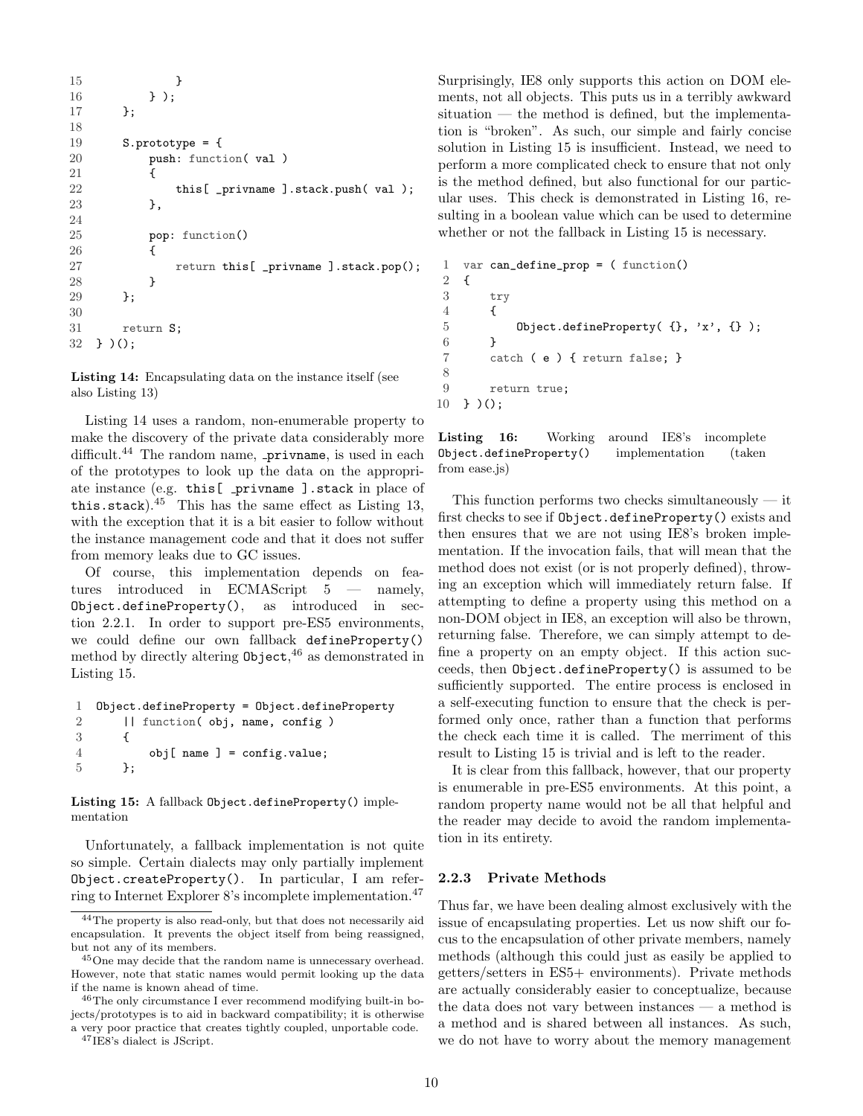```
15 }
16 } );
17    };
18
19 S.prototype = {
20 push: function( val )
21 {
22 this[ _privname ].stack.push( val );
23     },
24
25 pop: function()
26 {
27 return this[ _privname ].stack.pop();
28 }
29 };
30
31 return S;
32 } )();
```
Listing 14: Encapsulating data on the instance itself (see also Listing [13\)](#page-6-5)

Listing [14](#page-8-5) uses a random, non-enumerable property to make the discovery of the private data considerably more difficult.<sup>[44](#page-9-1)</sup> The random name,  $\_privname$ , is used in each of the prototypes to look up the data on the appropriate instance (e.g. this [ \_privname ].stack in place of this.stack). $45$  This has the same effect as Listing [13,](#page-6-5) with the exception that it is a bit easier to follow without the instance management code and that it does not suffer from memory leaks due to GC issues.

Of course, this implementation depends on features introduced in ECMAScript 5 — namely, Object.defineProperty(), as introduced in section [2.2.1.](#page-6-1) In order to support pre-ES5 environments, we could define our own fallback defineProperty() method by directly altering Object, [46](#page-9-3) as demonstrated in Listing [15.](#page-9-4)

```
1 Object.defineProperty = Object.defineProperty
2 || function( obj, name, config )
3 {
4 obj[ name ] = config.value;
5 };
```
Listing 15: A fallback Object.defineProperty() implementation

Unfortunately, a fallback implementation is not quite so simple. Certain dialects may only partially implement Object.createProperty(). In particular, I am referring to Internet Explorer 8's incomplete implementation.[47](#page-9-5)

<span id="page-9-5"></span><sup>47</sup>IE8's dialect is JScript.

Surprisingly, IE8 only supports this action on DOM elements, not all objects. This puts us in a terribly awkward  $situation$  — the method is defined, but the implementation is "broken". As such, our simple and fairly concise solution in Listing [15](#page-9-4) is insufficient. Instead, we need to perform a more complicated check to ensure that not only is the method defined, but also functional for our particular uses. This check is demonstrated in Listing [16,](#page-9-6) resulting in a boolean value which can be used to determine whether or not the fallback in Listing [15](#page-9-4) is necessary.

```
1 var can_define_prop = ( function()
2 {
3 try
4 {
5 Object.defineProperty( {}, 'x', {} );
6 }
7 catch ( e ) { return false; }
8
9 return true;
10 } )();
```

```
Listing 16: Working around IE8's incomplete
Object.defineProperty() implementation (taken
from ease.js)
```
This function performs two checks simultaneously  $-$  it first checks to see if Object.defineProperty() exists and then ensures that we are not using IE8's broken implementation. If the invocation fails, that will mean that the method does not exist (or is not properly defined), throwing an exception which will immediately return false. If attempting to define a property using this method on a non-DOM object in IE8, an exception will also be thrown, returning false. Therefore, we can simply attempt to define a property on an empty object. If this action succeeds, then Object.defineProperty() is assumed to be sufficiently supported. The entire process is enclosed in a self-executing function to ensure that the check is performed only once, rather than a function that performs the check each time it is called. The merriment of this result to Listing [15](#page-9-4) is trivial and is left to the reader.

It is clear from this fallback, however, that our property is enumerable in pre-ES5 environments. At this point, a random property name would not be all that helpful and the reader may decide to avoid the random implementation in its entirety.

#### <span id="page-9-0"></span>2.2.3 Private Methods

Thus far, we have been dealing almost exclusively with the issue of encapsulating properties. Let us now shift our focus to the encapsulation of other private members, namely methods (although this could just as easily be applied to getters/setters in ES5+ environments). Private methods are actually considerably easier to conceptualize, because the data does not vary between instances — a method is a method and is shared between all instances. As such, we do not have to worry about the memory management

<span id="page-9-1"></span><sup>44</sup>The property is also read-only, but that does not necessarily aid encapsulation. It prevents the object itself from being reassigned, but not any of its members.

<span id="page-9-2"></span><sup>&</sup>lt;sup>45</sup>One may decide that the random name is unnecessary overhead. However, note that static names would permit looking up the data if the name is known ahead of time.

<span id="page-9-3"></span><sup>46</sup>The only circumstance I ever recommend modifying built-in bojects/prototypes is to aid in backward compatibility; it is otherwise a very poor practice that creates tightly coupled, unportable code.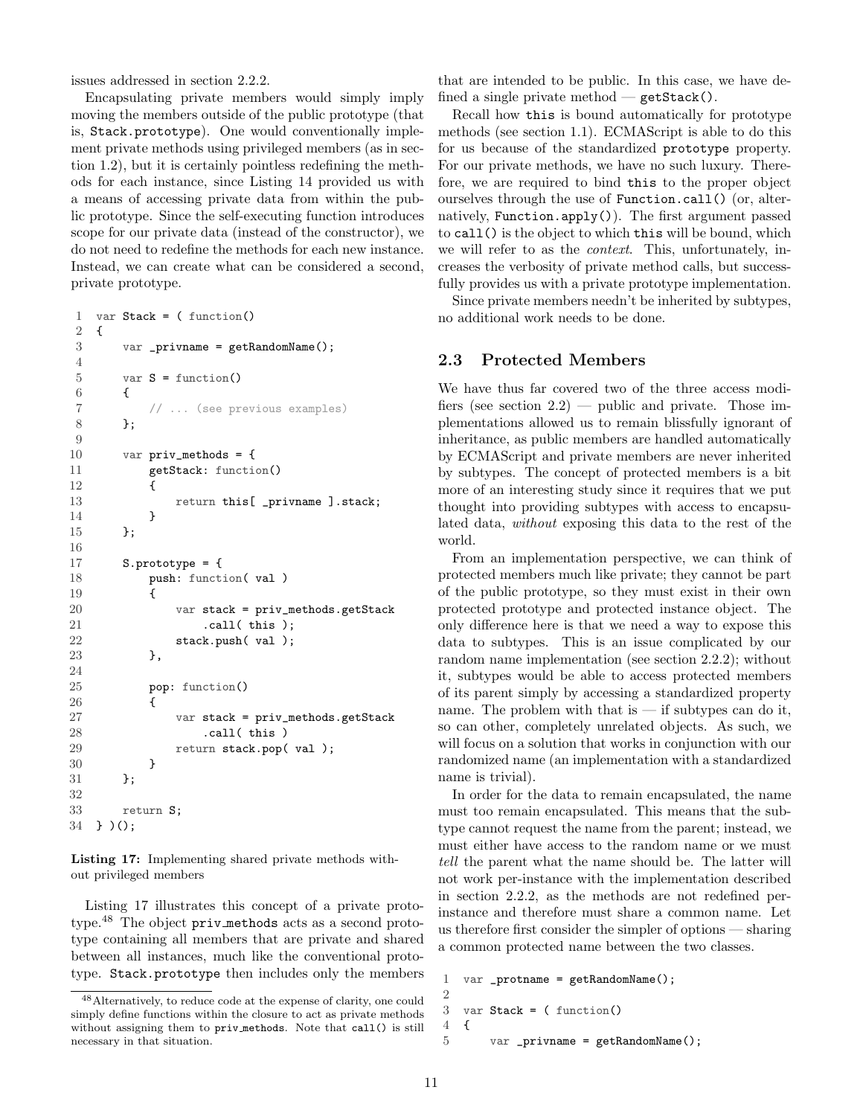issues addressed in section [2.2.2.](#page-8-0)

Encapsulating private members would simply imply moving the members outside of the public prototype (that is, Stack.prototype). One would conventionally implement private methods using privileged members (as in section [1.2\)](#page-2-0), but it is certainly pointless redefining the methods for each instance, since Listing [14](#page-8-5) provided us with a means of accessing private data from within the public prototype. Since the self-executing function introduces scope for our private data (instead of the constructor), we do not need to redefine the methods for each new instance. Instead, we can create what can be considered a second, private prototype.

```
1 var Stack = (function()2 {
3 var _privname = getRandomName();
4
5 var S = function()6 {
7 // ... (see previous examples)
8 };
9
10 var priv\_methods = {11 getStack: function()
12 {
13 return this[ _privname ].stack;
14 }
15 };
16
17 S.prototype = {
18 push: function( val )
19 {
20 var stack = priv_methods.getStack
21 .call( this );
22 stack.push(val);
23 },
24
25 pop: function()
26 {
27 var stack = priv_methods.getStack
28 .call( this )
29 return stack.pop(val);
30 }
31    };
32
33 return S;
34 } )();
```
Listing 17: Implementing shared private methods without privileged members

Listing [17](#page-10-1) illustrates this concept of a private proto-type.<sup>[48](#page-10-2)</sup> The object priv methods acts as a second prototype containing all members that are private and shared between all instances, much like the conventional prototype. Stack.prototype then includes only the members that are intended to be public. In this case, we have defined a single private method  $-$  getStack().

Recall how this is bound automatically for prototype methods (see section [1.1\)](#page-1-0). ECMAScript is able to do this for us because of the standardized prototype property. For our private methods, we have no such luxury. Therefore, we are required to bind this to the proper object ourselves through the use of Function.call() (or, alternatively, Function.apply()). The first argument passed to call() is the object to which this will be bound, which we will refer to as the *context*. This, unfortunately, increases the verbosity of private method calls, but successfully provides us with a private prototype implementation.

Since private members needn't be inherited by subtypes, no additional work needs to be done.

## <span id="page-10-0"></span>2.3 Protected Members

We have thus far covered two of the three access modifiers (see section  $2.2$ ) — public and private. Those implementations allowed us to remain blissfully ignorant of inheritance, as public members are handled automatically by ECMAScript and private members are never inherited by subtypes. The concept of protected members is a bit more of an interesting study since it requires that we put thought into providing subtypes with access to encapsulated data, without exposing this data to the rest of the world.

From an implementation perspective, we can think of protected members much like private; they cannot be part of the public prototype, so they must exist in their own protected prototype and protected instance object. The only difference here is that we need a way to expose this data to subtypes. This is an issue complicated by our random name implementation (see section [2.2.2\)](#page-8-0); without it, subtypes would be able to access protected members of its parent simply by accessing a standardized property name. The problem with that is  $-$  if subtypes can do it, so can other, completely unrelated objects. As such, we will focus on a solution that works in conjunction with our randomized name (an implementation with a standardized name is trivial).

In order for the data to remain encapsulated, the name must too remain encapsulated. This means that the subtype cannot request the name from the parent; instead, we must either have access to the random name or we must tell the parent what the name should be. The latter will not work per-instance with the implementation described in section [2.2.2,](#page-8-0) as the methods are not redefined perinstance and therefore must share a common name. Let us therefore first consider the simpler of options — sharing a common protected name between the two classes.

```
1 var _protname = getRandomName();
\mathfrak{D}3 var Stack = ( function()
4 {
5 var _privname = getRandomName();
```
<span id="page-10-2"></span><sup>48</sup>Alternatively, to reduce code at the expense of clarity, one could simply define functions within the closure to act as private methods without assigning them to priv methods. Note that call() is still necessary in that situation.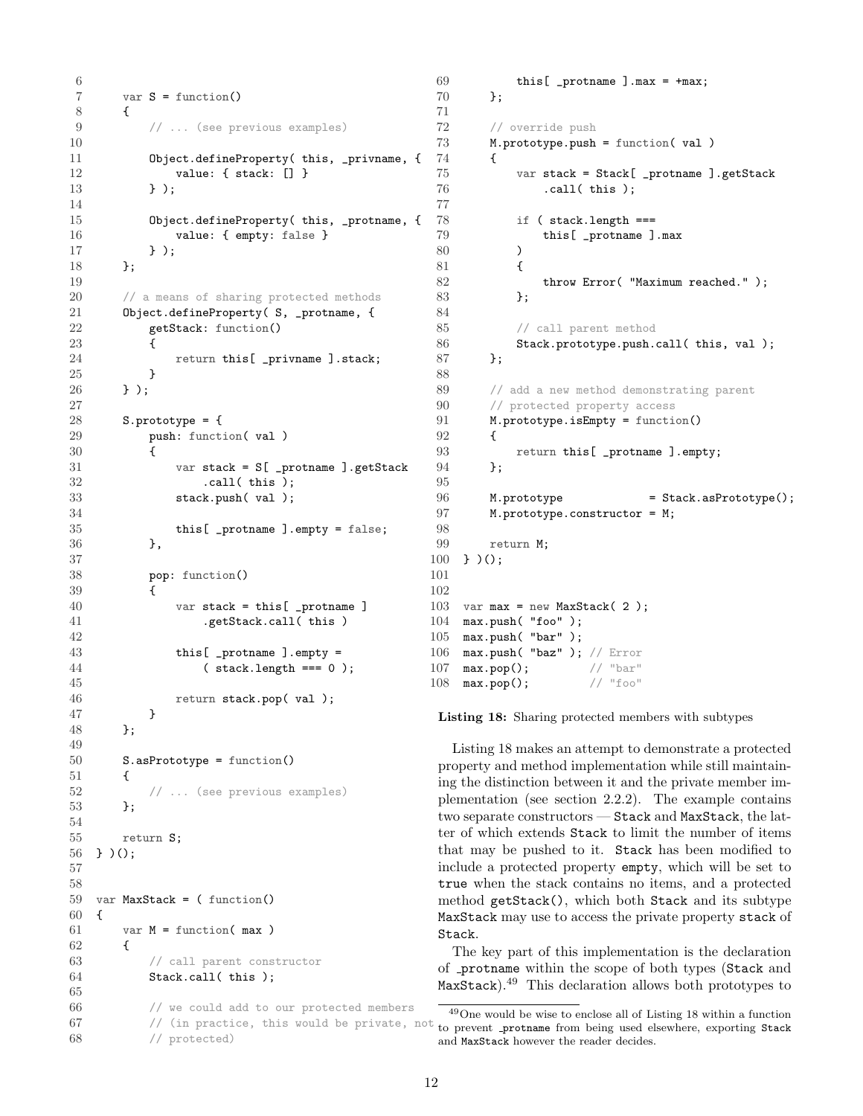```
\frac{6}{7}var S = function()8 {
9 // ... (see previous examples)
10
11 Object.defineProperty( this, _privname, {
12 value: { stack: [] }
13 } );
14
15 Object.defineProperty( this, _protname, {
16 value: { empty: false }
17 } );
18 };
19
20 // a means of sharing protected methods
21 Object.defineProperty( S, _protname, {
22 getStack: function()
23 {
24 return this[ _privname ].stack;
25 }
26 } );
27
28 S.prototype = {
29 push: function( val )
30 {
31 var stack = S[ _protname ].getStack
32 .call( this );
33 stack.push(val);
34
35 this[ _protname ].empty = false;
36 },
37
38 pop: function()
39\,40 var stack = this[ _protname ]
41 .getStack.call( this )
42
43 this[ _protname ].empty =
44 ( stack.length === 0 );
45
46 return stack.pop(val);
47 }
48 };
49
50 S.asPrototype = function()
51 {
52 // ... (see previous examples)
53   };
54
55 return S;
56 } )();
57
58
59 var MaxStack = ( function()
60 {
61 var M = function(max)
62 {
63 // call parent constructor
64 Stack.call( this );
65
66 // we could add to our protected members
67 // (in practice, this would be private, not
68 // protected)
                                         101
                                         102
```

```
69 this[ _protname ].max = +max;
70 };
72 // override push
73 M.prototype.push = function( val )
74 {
75 var stack = Stack[ _protname ].getStack
76 .call( this );
78 if ( stack.length ===
79 this[ _protname ].max
80 )
81 {
82 throw Error( "Maximum reached." );
83    };
85 // call parent method
86 Stack.prototype.push.call( this, val );<br>87 }:
       87 };
89 // add a new method demonstrating parent
90 // protected property access
91 M.prototype.isEmpty = function()
92 {
93 return this[ _protname ].empty;
94 };
96 M.prototype = Stack.asPrototype();
97 M.prototype.constructor = M;
99 return M;<br>100 } )(;
    \} )();
103 var max = new MaxStack(2);
104 max.push( "foo" );
105 max.push( "bar" );
106 max.push("baz"); // Error<br>107 max.pop(); // "bar"
107 \max.pop(); // "bar"<br>108 \max.pop(); // "foo"
108 max.pop();
```
Listing 18: Sharing protected members with subtypes

Listing [18](#page-10-3) makes an attempt to demonstrate a protected property and method implementation while still maintaining the distinction between it and the private member implementation (see section [2.2.2\)](#page-8-0). The example contains two separate constructors — Stack and MaxStack, the latter of which extends Stack to limit the number of items that may be pushed to it. Stack has been modified to include a protected property empty, which will be set to true when the stack contains no items, and a protected method getStack(), which both Stack and its subtype MaxStack may use to access the private property stack of Stack.

The key part of this implementation is the declaration of protname within the scope of both types (Stack and MaxStack).[49](#page-11-0) This declaration allows both prototypes to

<span id="page-11-0"></span> $\rm ^{49}One$  would be wise to enclose all of Listing [18](#page-10-3) within a function to prevent \_protname from being used elsewhere, exporting Stack and MaxStack however the reader decides.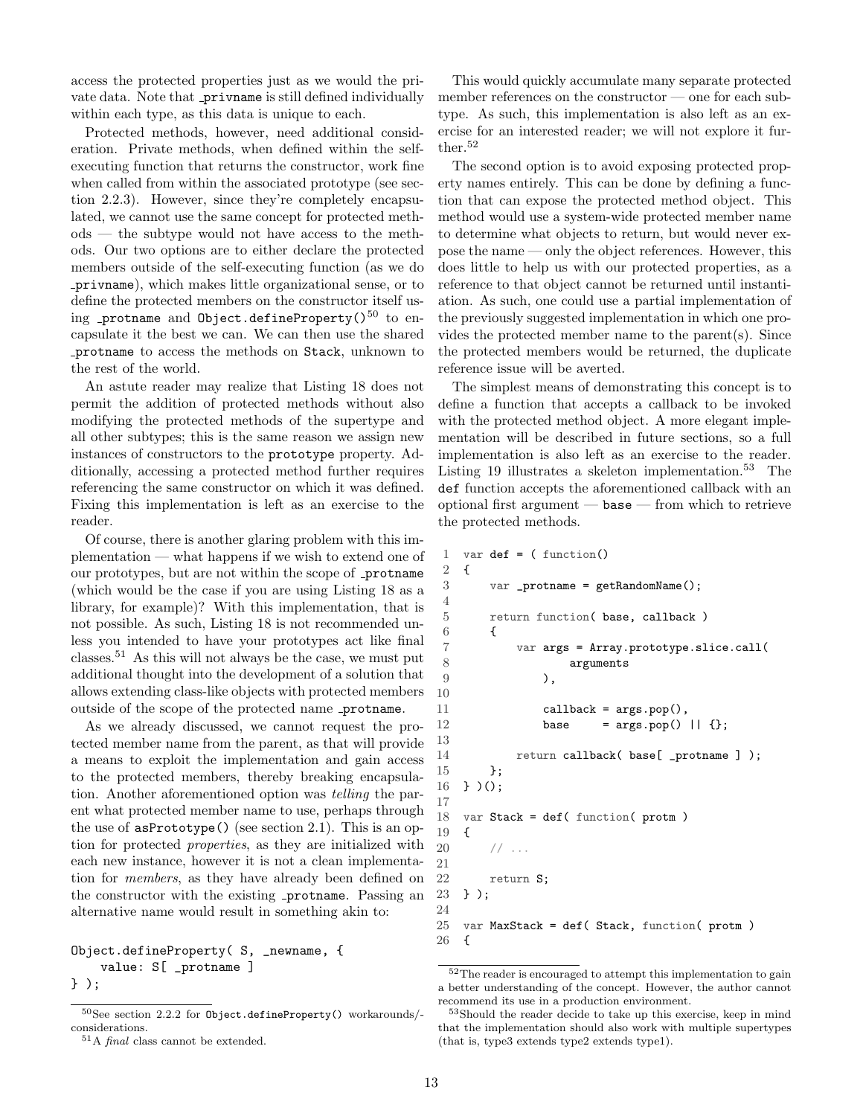access the protected properties just as we would the private data. Note that privname is still defined individually within each type, as this data is unique to each.

Protected methods, however, need additional consideration. Private methods, when defined within the selfexecuting function that returns the constructor, work fine when called from within the associated prototype (see section [2.2.3\)](#page-9-0). However, since they're completely encapsulated, we cannot use the same concept for protected methods — the subtype would not have access to the methods. Our two options are to either declare the protected members outside of the self-executing function (as we do privname), which makes little organizational sense, or to define the protected members on the constructor itself us-ing protname and Object.defineProperty()<sup>[50](#page-12-0)</sup> to encapsulate it the best we can. We can then use the shared protname to access the methods on Stack, unknown to the rest of the world.

An astute reader may realize that Listing [18](#page-10-3) does not permit the addition of protected methods without also modifying the protected methods of the supertype and all other subtypes; this is the same reason we assign new instances of constructors to the prototype property. Additionally, accessing a protected method further requires referencing the same constructor on which it was defined. Fixing this implementation is left as an exercise to the reader.

Of course, there is another glaring problem with this implementation — what happens if we wish to extend one of our prototypes, but are not within the scope of \_protname (which would be the case if you are using Listing [18](#page-10-3) as a library, for example)? With this implementation, that is not possible. As such, Listing [18](#page-10-3) is not recommended unless you intended to have your prototypes act like final classes.[51](#page-12-1) As this will not always be the case, we must put additional thought into the development of a solution that allows extending class-like objects with protected members outside of the scope of the protected name \_protname.

As we already discussed, we cannot request the protected member name from the parent, as that will provide a means to exploit the implementation and gain access to the protected members, thereby breaking encapsulation. Another aforementioned option was telling the parent what protected member name to use, perhaps through the use of asPrototype() (see section [2.1\)](#page-5-2). This is an option for protected properties, as they are initialized with each new instance, however it is not a clean implementation for members, as they have already been defined on the constructor with the existing **protname**. Passing an alternative name would result in something akin to:

Object.defineProperty( S, \_newname, { value: S[ \_protname ] } );

This would quickly accumulate many separate protected member references on the constructor — one for each subtype. As such, this implementation is also left as an exercise for an interested reader; we will not explore it fur-ther.<sup>[52](#page-12-2)</sup>

The second option is to avoid exposing protected property names entirely. This can be done by defining a function that can expose the protected method object. This method would use a system-wide protected member name to determine what objects to return, but would never expose the name — only the object references. However, this does little to help us with our protected properties, as a reference to that object cannot be returned until instantiation. As such, one could use a partial implementation of the previously suggested implementation in which one provides the protected member name to the parent(s). Since the protected members would be returned, the duplicate reference issue will be averted.

The simplest means of demonstrating this concept is to define a function that accepts a callback to be invoked with the protected method object. A more elegant implementation will be described in future sections, so a full implementation is also left as an exercise to the reader. Listing [19](#page-12-3) illustrates a skeleton implementation.<sup>[53](#page-12-4)</sup> The def function accepts the aforementioned callback with an optional first argument  $-$  base  $-$  from which to retrieve the protected methods.

```
1 var def = ( function()2 {
 3 var _protname = getRandomName();
 4
 5 return function( base, callback )
 6 {
 7 var args = Array.prototype.slice.call(
 8 arguments
 9 ),
10
11 callback = args.pop(),
12 base = \arg s.pop() || {};
13
14 return callback(base[ _protname ] );
15 };
16 } )();
17
18 var Stack = def( function( protm )
19 {
20 // ...
21
22 return S;
23 } );
24
25 var MaxStack = def( Stack, function( protm )
26 {
```
<span id="page-12-0"></span><sup>50</sup>See section [2.2.2](#page-8-0) for Object.defineProperty() workarounds/ considerations.

<span id="page-12-1"></span> $51A$  *final* class cannot be extended.

<span id="page-12-2"></span> $\rm ^{52}The$  reader is encouraged to attempt this implementation to gain a better understanding of the concept. However, the author cannot recommend its use in a production environment.

<span id="page-12-4"></span><sup>53</sup>Should the reader decide to take up this exercise, keep in mind that the implementation should also work with multiple supertypes (that is, type3 extends type2 extends type1).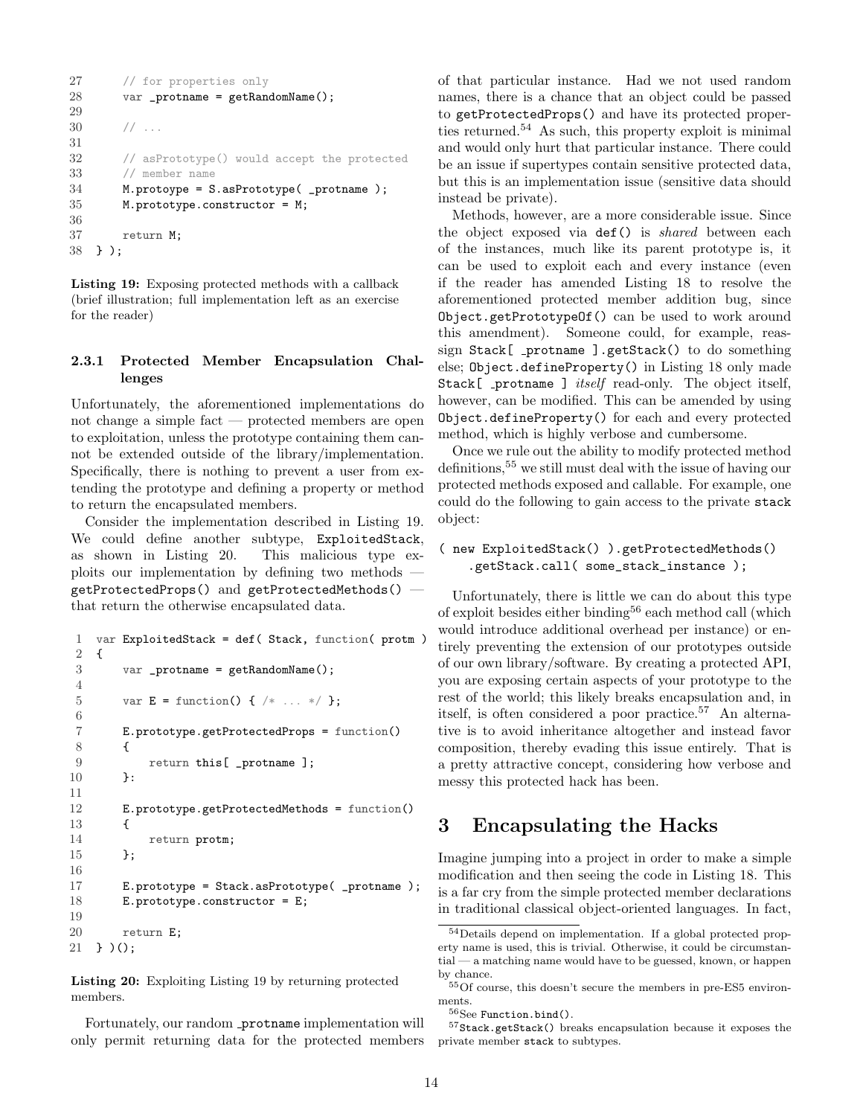```
27 // for properties only
28 var _protname = getRandomName();
29
30 / / ...31
32 // asPrototype() would accept the protected
33 // member name
34 M.protoype = S.asPrototype( _protname );
35 M.prototype.constructor = M;
36
37 return M;
38 } );
```
Listing 19: Exposing protected methods with a callback (brief illustration; full implementation left as an exercise for the reader)

#### <span id="page-13-0"></span>2.3.1 Protected Member Encapsulation Challenges

Unfortunately, the aforementioned implementations do not change a simple fact — protected members are open to exploitation, unless the prototype containing them cannot be extended outside of the library/implementation. Specifically, there is nothing to prevent a user from extending the prototype and defining a property or method to return the encapsulated members.

Consider the implementation described in Listing [19.](#page-12-3) We could define another subtype, ExploitedStack, as shown in Listing [20.](#page-13-2) This malicious type exploits our implementation by defining two methods getProtectedProps() and getProtectedMethods() that return the otherwise encapsulated data.

```
1 var ExploitedStack = def( Stack, function( protm )
2 {
3 var _protname = getRandomName();
4
5 var E = function() { /* ... * / };
6
7 E.prototype.getProtectedProps = function()
8 {
9 return this[ _protname ];
10 }:
11
12 E.prototype.getProtectedMethods = function()
13 {
14 return protm;
15 };
16
17 E.prototype = Stack.asPrototype( _protname );
18 E.prototype.constructor = E;
19
20 return E;
21 } )();
```
Listing 20: Exploiting Listing [19](#page-12-3) by returning protected members.

Fortunately, our random \_protname implementation will only permit returning data for the protected members of that particular instance. Had we not used random names, there is a chance that an object could be passed to getProtectedProps() and have its protected properties returned.[54](#page-13-3) As such, this property exploit is minimal and would only hurt that particular instance. There could be an issue if supertypes contain sensitive protected data, but this is an implementation issue (sensitive data should instead be private).

Methods, however, are a more considerable issue. Since the object exposed via def() is shared between each of the instances, much like its parent prototype is, it can be used to exploit each and every instance (even if the reader has amended Listing [18](#page-10-3) to resolve the aforementioned protected member addition bug, since Object.getPrototypeOf() can be used to work around this amendment). Someone could, for example, reassign Stack[ \_protname ].getStack() to do something else; Object.defineProperty() in Listing [18](#page-10-3) only made Stack[ \_protname ] *itself* read-only. The object itself, however, can be modified. This can be amended by using Object.defineProperty() for each and every protected method, which is highly verbose and cumbersome.

Once we rule out the ability to modify protected method definitions,[55](#page-13-4) we still must deal with the issue of having our protected methods exposed and callable. For example, one could do the following to gain access to the private stack object:

#### ( new ExploitedStack() ).getProtectedMethods() .getStack.call( some\_stack\_instance );

Unfortunately, there is little we can do about this type of exploit besides either binding[56](#page-13-5) each method call (which would introduce additional overhead per instance) or entirely preventing the extension of our prototypes outside of our own library/software. By creating a protected API, you are exposing certain aspects of your prototype to the rest of the world; this likely breaks encapsulation and, in itself, is often considered a poor practice.<sup>[57](#page-13-6)</sup> An alternative is to avoid inheritance altogether and instead favor composition, thereby evading this issue entirely. That is a pretty attractive concept, considering how verbose and messy this protected hack has been.

# <span id="page-13-1"></span>3 Encapsulating the Hacks

Imagine jumping into a project in order to make a simple modification and then seeing the code in Listing [18.](#page-10-3) This is a far cry from the simple protected member declarations in traditional classical object-oriented languages. In fact,

<span id="page-13-3"></span><sup>54</sup>Details depend on implementation. If a global protected property name is used, this is trivial. Otherwise, it could be circumstantial — a matching name would have to be guessed, known, or happen by chance.

<span id="page-13-4"></span> $55\,\mathrm{Of}$  course, this doesn't secure the members in pre-ES5 environments.

<span id="page-13-6"></span><span id="page-13-5"></span><sup>56</sup>See Function.bind().

 $^{57}\rm{Stack}.getStack()$  breaks encapsulation because it exposes the private member stack to subtypes.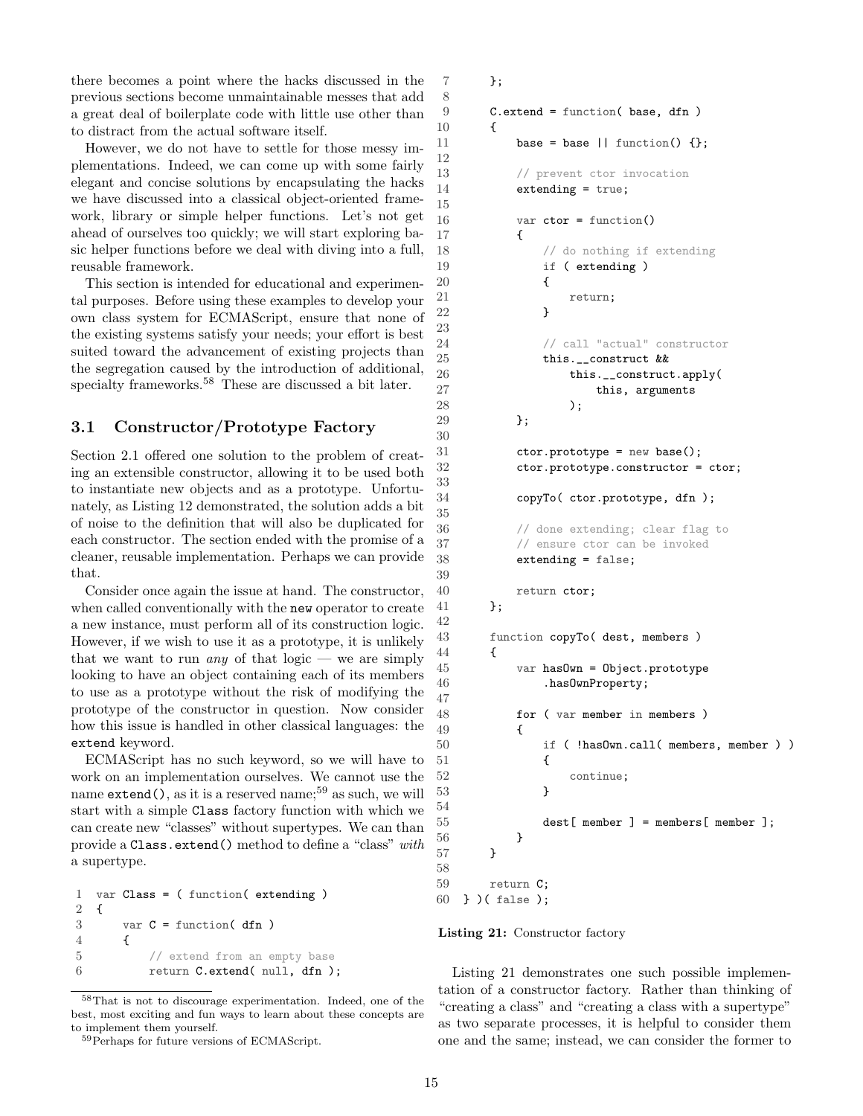there becomes a point where the hacks discussed in the previous sections become unmaintainable messes that add a great deal of boilerplate code with little use other than to distract from the actual software itself.

8

12

15

23

30

33

35

39

42

47

54

56 }

58

However, we do not have to settle for those messy implementations. Indeed, we can come up with some fairly elegant and concise solutions by encapsulating the hacks we have discussed into a classical object-oriented framework, library or simple helper functions. Let's not get ahead of ourselves too quickly; we will start exploring basic helper functions before we deal with diving into a full, reusable framework.

This section is intended for educational and experimental purposes. Before using these examples to develop your own class system for ECMAScript, ensure that none of the existing systems satisfy your needs; your effort is best suited toward the advancement of existing projects than the segregation caused by the introduction of additional, specialty frameworks.<sup>[58](#page-14-1)</sup> These are discussed a bit later.

# <span id="page-14-0"></span>3.1 Constructor/Prototype Factory

Section [2.1](#page-5-2) offered one solution to the problem of creating an extensible constructor, allowing it to be used both to instantiate new objects and as a prototype. Unfortunately, as Listing [12](#page-5-6) demonstrated, the solution adds a bit of noise to the definition that will also be duplicated for each constructor. The section ended with the promise of a cleaner, reusable implementation. Perhaps we can provide that.

Consider once again the issue at hand. The constructor, when called conventionally with the new operator to create a new instance, must perform all of its construction logic. However, if we wish to use it as a prototype, it is unlikely that we want to run *any* of that  $logic$  — we are simply looking to have an object containing each of its members to use as a prototype without the risk of modifying the prototype of the constructor in question. Now consider how this issue is handled in other classical languages: the extend keyword.

ECMAScript has no such keyword, so we will have to work on an implementation ourselves. We cannot use the name  $ext{end}$ , as it is a reserved name;<sup>[59](#page-14-2)</sup> as such, we will start with a simple Class factory function with which we can create new "classes" without supertypes. We can than provide a Class.extend() method to define a "class" with a supertype.

```
1 var Class = ( function( extending ) 2 \quad 1\mathcal{L}3 \text{ var } C = \text{function}(\text{ dfn})4 {
5 // extend from an empty base
6 return C.extend( null, dfn );
```
<span id="page-14-1"></span><sup>58</sup>That is not to discourage experimentation. Indeed, one of the best, most exciting and fun ways to learn about these concepts are to implement them yourself.

```
59Perhaps for future versions of ECMAScript.
```

```
7 };
9 C.extend = function( base, dfn )
10 \qquad \qquad11 base = base || function() \{\};
13 // prevent ctor invocation
14 extending = true;
16 var ctor = function()
17 {
18 // do nothing if extending
19 if ( extending )
20 {
21 return;
22 }
24 // call "actual" constructor<br>25 this. construct &&
           25 this.__construct &&
26 this.__construct.apply(
27 this, arguments
28 );
29 };
31 ctor.prototype = new base();
32 ctor.prototype.constructor = ctor;
34 copyTo( ctor.prototype, dfn );
36 // done extending; clear flag to
37 // ensure ctor can be invoked
38 extending = false;
40 return ctor;
41    };
43 function copyTo( dest, members )
44 {
45 var hasOwn = Object.prototype
46 .hasOwnProperty;
48 for ( var member in members )
49 {
50 if ( !hasOwn.call( members, member ) )
51 {
52 continue;
53 }
55 dest[ member ] = members[ member ];<br>56 }
57 }
59 return C;
60 } )( false );
```
Listing 21: Constructor factory

Listing [21](#page-14-3) demonstrates one such possible implementation of a constructor factory. Rather than thinking of "creating a class" and "creating a class with a supertype" as two separate processes, it is helpful to consider them one and the same; instead, we can consider the former to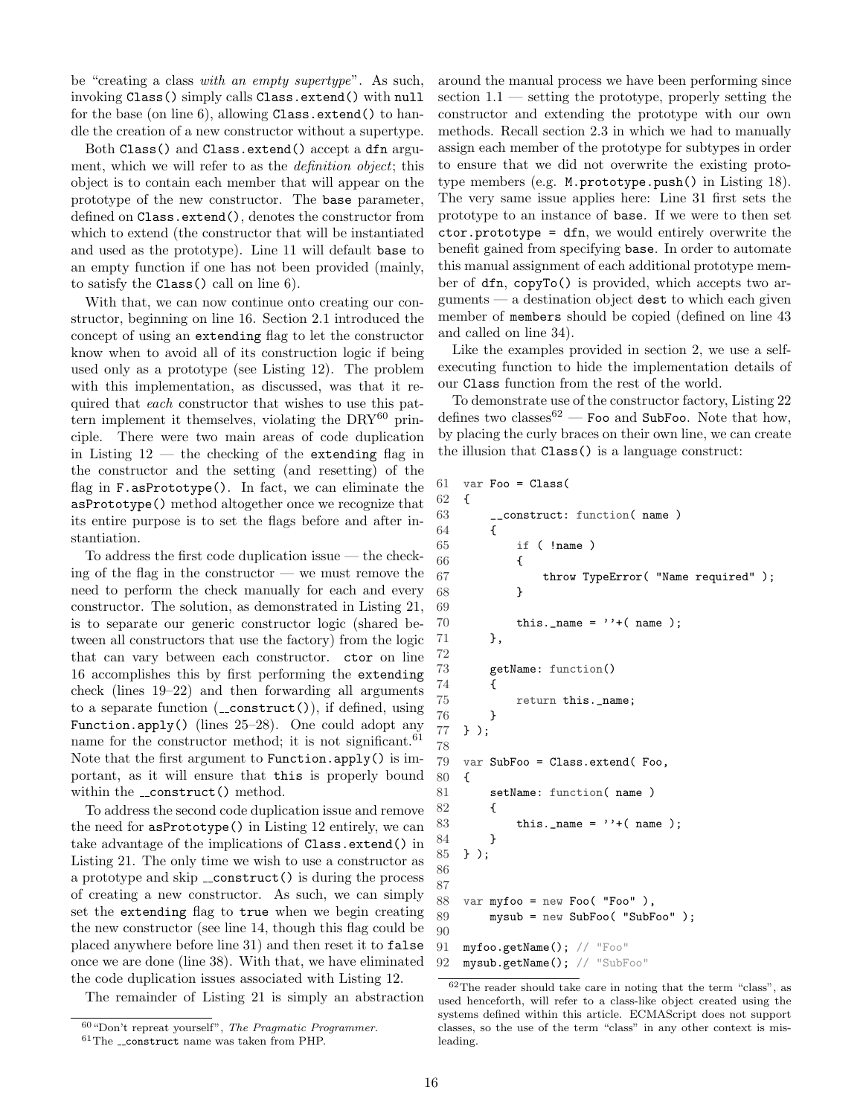be "creating a class with an empty supertype". As such, invoking Class() simply calls Class.extend() with null for the base (on line 6), allowing Class.extend() to handle the creation of a new constructor without a supertype.

Both Class() and Class.extend() accept a dfn argument, which we will refer to as the *definition object*; this object is to contain each member that will appear on the prototype of the new constructor. The base parameter, defined on Class.extend(), denotes the constructor from which to extend (the constructor that will be instantiated and used as the prototype). Line 11 will default base to an empty function if one has not been provided (mainly, to satisfy the Class() call on line 6).

With that, we can now continue onto creating our constructor, beginning on line 16. Section [2.1](#page-5-2) introduced the concept of using an extending flag to let the constructor know when to avoid all of its construction logic if being used only as a prototype (see Listing [12\)](#page-5-6). The problem with this implementation, as discussed, was that it required that each constructor that wishes to use this pattern implement it themselves, violating the  $DRY^{60}$  $DRY^{60}$  $DRY^{60}$  principle. There were two main areas of code duplication in Listing  $12$  — the checking of the extending flag in the constructor and the setting (and resetting) of the flag in F.asPrototype(). In fact, we can eliminate the asPrototype() method altogether once we recognize that its entire purpose is to set the flags before and after instantiation.

To address the first code duplication issue — the checking of the flag in the constructor  $-$  we must remove the need to perform the check manually for each and every constructor. The solution, as demonstrated in Listing [21,](#page-14-3) is to separate our generic constructor logic (shared between all constructors that use the factory) from the logic that can vary between each constructor. ctor on line 16 accomplishes this by first performing the extending check (lines 19–22) and then forwarding all arguments to a separate function  $(\text{-construct}()),$  if defined, using Function.apply() (lines  $25-28$ ). One could adopt any name for the constructor method; it is not significant.  $61$ Note that the first argument to Function.apply() is important, as it will ensure that this is properly bound within the \_construct() method.

To address the second code duplication issue and remove the need for asPrototype() in Listing [12](#page-5-6) entirely, we can take advantage of the implications of Class.extend() in Listing [21.](#page-14-3) The only time we wish to use a constructor as a prototype and skip  $\text{\_}constant()$  is during the process of creating a new constructor. As such, we can simply set the extending flag to true when we begin creating the new constructor (see line 14, though this flag could be placed anywhere before line 31) and then reset it to false once we are done (line 38). With that, we have eliminated the code duplication issues associated with Listing [12.](#page-5-6)

The remainder of Listing [21](#page-14-3) is simply an abstraction

around the manual process we have been performing since section  $1.1$  — setting the prototype, properly setting the constructor and extending the prototype with our own methods. Recall section [2.3](#page-10-0) in which we had to manually assign each member of the prototype for subtypes in order to ensure that we did not overwrite the existing prototype members (e.g. M.prototype.push() in Listing [18\)](#page-10-3). The very same issue applies here: Line 31 first sets the prototype to an instance of base. If we were to then set ctor.prototype = dfn, we would entirely overwrite the benefit gained from specifying base. In order to automate this manual assignment of each additional prototype member of dfn, copyTo() is provided, which accepts two ar $g$ uments — a destination object dest to which each given member of members should be copied (defined on line 43 and called on line 34).

Like the examples provided in section [2,](#page-5-1) we use a selfexecuting function to hide the implementation details of our Class function from the rest of the world.

To demonstrate use of the constructor factory, Listing [22](#page-15-2) defines two classes  $62$  — Foo and SubFoo. Note that how, by placing the curly braces on their own line, we can create the illusion that Class() is a language construct:

```
61 var Foo = Class(
62 \quad f
63 __construct: function( name )
64 {
65 if ( !name )
66 {
67 throw TypeError( "Name required" );
68 }
69
70 this._name = ''+(name);
71 },
72
73 getName: function()
74 {
75 return this._name;
76 }
77 } );
78
79 var SubFoo = Class.extend( Foo,
80 {
81 setName: function( name )
82 {
83 this._name = ' + (name);
84 }
85 } );
86
87
88 var myfoo = new Foo( "Foo" ),
89 mysub = new SubFoo( "SubFoo" );
90
91 myfoo.getName(); // "Foo"
92 mysub.getName(); // "SubFoo"
```
<span id="page-15-0"></span><sup>60</sup>"Don't repreat yourself", The Pragmatic Programmer.

<span id="page-15-1"></span> $^{61}\mathrm{The}$  ... construct name was taken from PHP.

<span id="page-15-3"></span> $62$ The reader should take care in noting that the term "class", as used henceforth, will refer to a class-like object created using the systems defined within this article. ECMAScript does not support classes, so the use of the term "class" in any other context is misleading.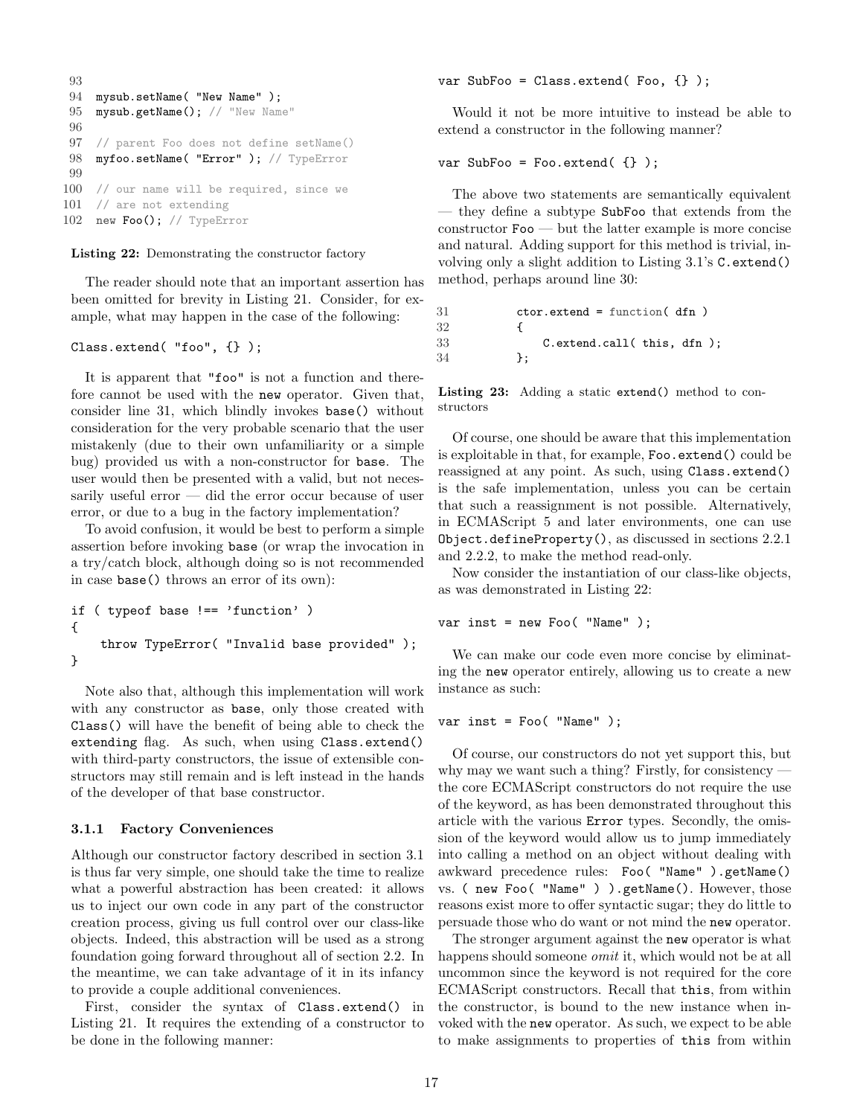```
93
94 mysub.setName( "New Name" );
95 mysub.getName(); // "New Name"
96
97 // parent Foo does not define setName()
98 myfoo.setName( "Error" ); // TypeError
99
100 // our name will be required, since we
101 // are not extending
102 new Foo(); // TypeError
```
Listing 22: Demonstrating the constructor factory

The reader should note that an important assertion has been omitted for brevity in Listing [21.](#page-14-3) Consider, for example, what may happen in the case of the following:

#### Class.extend( "foo", {} );

It is apparent that "foo" is not a function and therefore cannot be used with the new operator. Given that, consider line 31, which blindly invokes base() without consideration for the very probable scenario that the user mistakenly (due to their own unfamiliarity or a simple bug) provided us with a non-constructor for base. The user would then be presented with a valid, but not necessarily useful error — did the error occur because of user error, or due to a bug in the factory implementation?

To avoid confusion, it would be best to perform a simple assertion before invoking base (or wrap the invocation in a try/catch block, although doing so is not recommended in case base() throws an error of its own):

```
if ( typeof base !== 'function' )
{
    throw TypeError( "Invalid base provided" );
}
```
Note also that, although this implementation will work with any constructor as base, only those created with Class() will have the benefit of being able to check the extending flag. As such, when using Class.extend() with third-party constructors, the issue of extensible constructors may still remain and is left instead in the hands of the developer of that base constructor.

#### <span id="page-16-0"></span>3.1.1 Factory Conveniences

Although our constructor factory described in section [3.1](#page-14-0) is thus far very simple, one should take the time to realize what a powerful abstraction has been created: it allows us to inject our own code in any part of the constructor creation process, giving us full control over our class-like objects. Indeed, this abstraction will be used as a strong foundation going forward throughout all of section [2.2.](#page-6-0) In the meantime, we can take advantage of it in its infancy to provide a couple additional conveniences.

First, consider the syntax of Class.extend() in Listing [21.](#page-14-3) It requires the extending of a constructor to be done in the following manner:

var SubFoo = Class.extend( $\text{Foo}, \{\}$ );

Would it not be more intuitive to instead be able to extend a constructor in the following manner?

#### var SubFoo = Foo.extend( {} );

The above two statements are semantically equivalent — they define a subtype SubFoo that extends from the constructor Foo — but the latter example is more concise and natural. Adding support for this method is trivial, involving only a slight addition to Listing [3.1'](#page-14-0)s C.extend() method, perhaps around line 30:

```
31 ctor.extend = function( dfn )
32 {
33 C.extend.call( this, dfn);
34 };
```
Listing 23: Adding a static extend() method to constructors

Of course, one should be aware that this implementation is exploitable in that, for example, Foo.extend() could be reassigned at any point. As such, using Class.extend() is the safe implementation, unless you can be certain that such a reassignment is not possible. Alternatively, in ECMAScript 5 and later environments, one can use Object.defineProperty(), as discussed in sections [2.2.1](#page-6-1) and [2.2.2,](#page-8-0) to make the method read-only.

Now consider the instantiation of our class-like objects, as was demonstrated in Listing [22:](#page-15-2)

#### var inst = new Foo( "Name" );

We can make our code even more concise by eliminating the new operator entirely, allowing us to create a new instance as such:

#### var inst = Foo( "Name" );

Of course, our constructors do not yet support this, but why may we want such a thing? Firstly, for consistency the core ECMAScript constructors do not require the use of the keyword, as has been demonstrated throughout this article with the various Error types. Secondly, the omission of the keyword would allow us to jump immediately into calling a method on an object without dealing with awkward precedence rules: Foo( "Name" ).getName() vs. ( new Foo( "Name" ) ).getName(). However, those reasons exist more to offer syntactic sugar; they do little to persuade those who do want or not mind the new operator.

The stronger argument against the new operator is what happens should someone *omit* it, which would not be at all uncommon since the keyword is not required for the core ECMAScript constructors. Recall that this, from within the constructor, is bound to the new instance when invoked with the new operator. As such, we expect to be able to make assignments to properties of this from within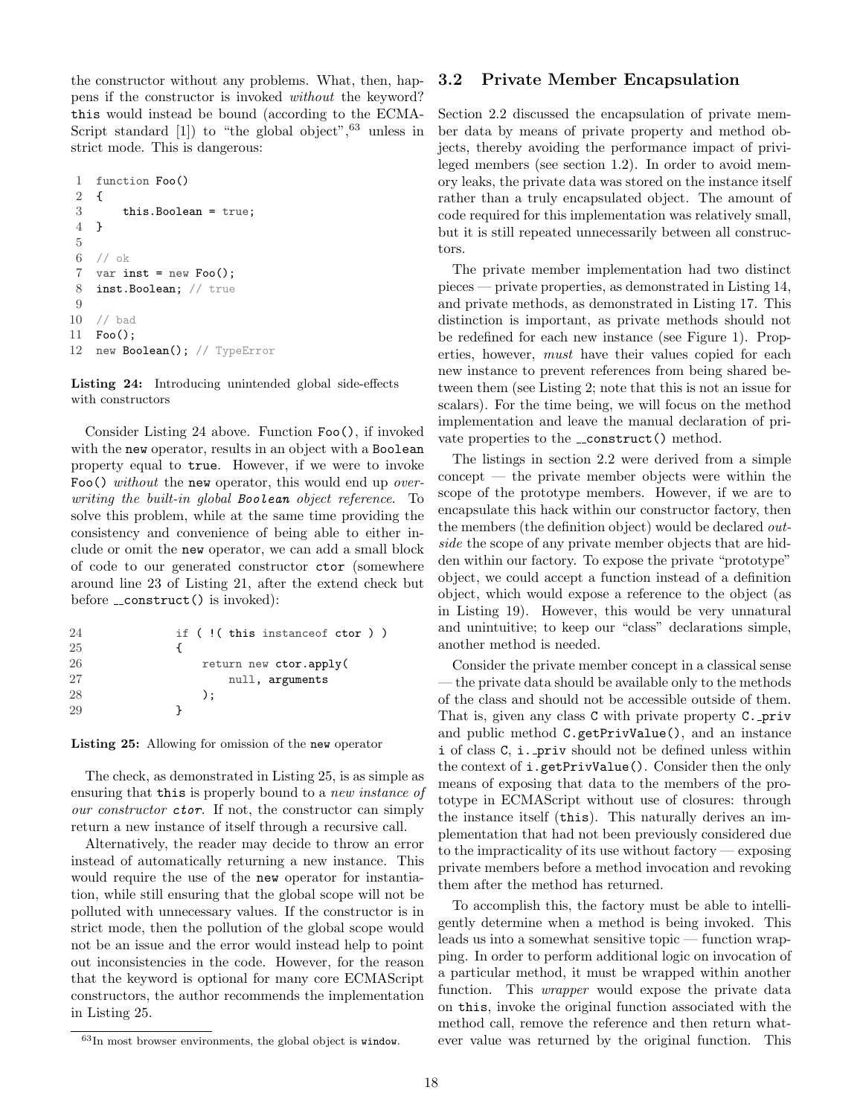the constructor without any problems. What, then, happens if the constructor is invoked without the keyword? this would instead be bound (according to the ECMA-Script standard  $[1]$ ) to "the global object",  $^{63}$  $^{63}$  $^{63}$  unless in strict mode. This is dangerous:

```
1 function Foo()
2 {
3 this.Boolean = true;
4 }
5
6 // ok
7 var inst = new Foo();
8 inst.Boolean; // true
9
10 // bad
11 Foo();
12 new Boolean(); // TypeError
```
Listing 24: Introducing unintended global side-effects with constructors

Consider Listing [24](#page-17-2) above. Function Foo(), if invoked with the new operator, results in an object with a Boolean property equal to true. However, if we were to invoke Foo() without the new operator, this would end up overwriting the built-in global Boolean object reference. To solve this problem, while at the same time providing the consistency and convenience of being able to either include or omit the new operator, we can add a small block of code to our generated constructor ctor (somewhere around line 23 of Listing [21,](#page-14-3) after the extend check but before \_\_construct() is invoked):

<span id="page-17-3"></span>

| 24 | if (!(this instance of ctor)) |
|----|-------------------------------|
| 25 |                               |
| 26 | return new ctor.apply(        |
| 27 | null, arguments               |
| 28 | $\cdot$                       |
| 29 |                               |

Listing 25: Allowing for omission of the new operator

The check, as demonstrated in Listing [25,](#page-17-3) is as simple as ensuring that this is properly bound to a new instance of our constructor **ctor**. If not, the constructor can simply return a new instance of itself through a recursive call.

Alternatively, the reader may decide to throw an error instead of automatically returning a new instance. This would require the use of the new operator for instantiation, while still ensuring that the global scope will not be polluted with unnecessary values. If the constructor is in strict mode, then the pollution of the global scope would not be an issue and the error would instead help to point out inconsistencies in the code. However, for the reason that the keyword is optional for many core ECMAScript constructors, the author recommends the implementation in Listing [25.](#page-17-3)

### <span id="page-17-0"></span>3.2 Private Member Encapsulation

Section [2.2](#page-6-0) discussed the encapsulation of private member data by means of private property and method objects, thereby avoiding the performance impact of privileged members (see section [1.2\)](#page-2-0). In order to avoid memory leaks, the private data was stored on the instance itself rather than a truly encapsulated object. The amount of code required for this implementation was relatively small, but it is still repeated unnecessarily between all constructors.

The private member implementation had two distinct pieces — private properties, as demonstrated in Listing [14,](#page-8-5) and private methods, as demonstrated in Listing [17.](#page-10-1) This distinction is important, as private methods should not be redefined for each new instance (see Figure [1\)](#page-2-6). Properties, however, must have their values copied for each new instance to prevent references from being shared between them (see Listing [2;](#page-1-1) note that this is not an issue for scalars). For the time being, we will focus on the method implementation and leave the manual declaration of private properties to the  $\text{\_}constant()$  method.

The listings in section [2.2](#page-6-0) were derived from a simple concept — the private member objects were within the scope of the prototype members. However, if we are to encapsulate this hack within our constructor factory, then the members (the definition object) would be declared outside the scope of any private member objects that are hidden within our factory. To expose the private "prototype" object, we could accept a function instead of a definition object, which would expose a reference to the object (as in Listing [19\)](#page-12-3). However, this would be very unnatural and unintuitive; to keep our "class" declarations simple, another method is needed.

Consider the private member concept in a classical sense — the private data should be available only to the methods of the class and should not be accessible outside of them. That is, given any class C with private property C. priv and public method C.getPrivValue(), and an instance i of class C, i. priv should not be defined unless within the context of i.getPrivValue(). Consider then the only means of exposing that data to the members of the prototype in ECMAScript without use of closures: through the instance itself (this). This naturally derives an implementation that had not been previously considered due to the impracticality of its use without factory — exposing private members before a method invocation and revoking them after the method has returned.

To accomplish this, the factory must be able to intelligently determine when a method is being invoked. This leads us into a somewhat sensitive topic — function wrapping. In order to perform additional logic on invocation of a particular method, it must be wrapped within another function. This wrapper would expose the private data on this, invoke the original function associated with the method call, remove the reference and then return whatever value was returned by the original function. This

<span id="page-17-1"></span><sup>63</sup>In most browser environments, the global object is window.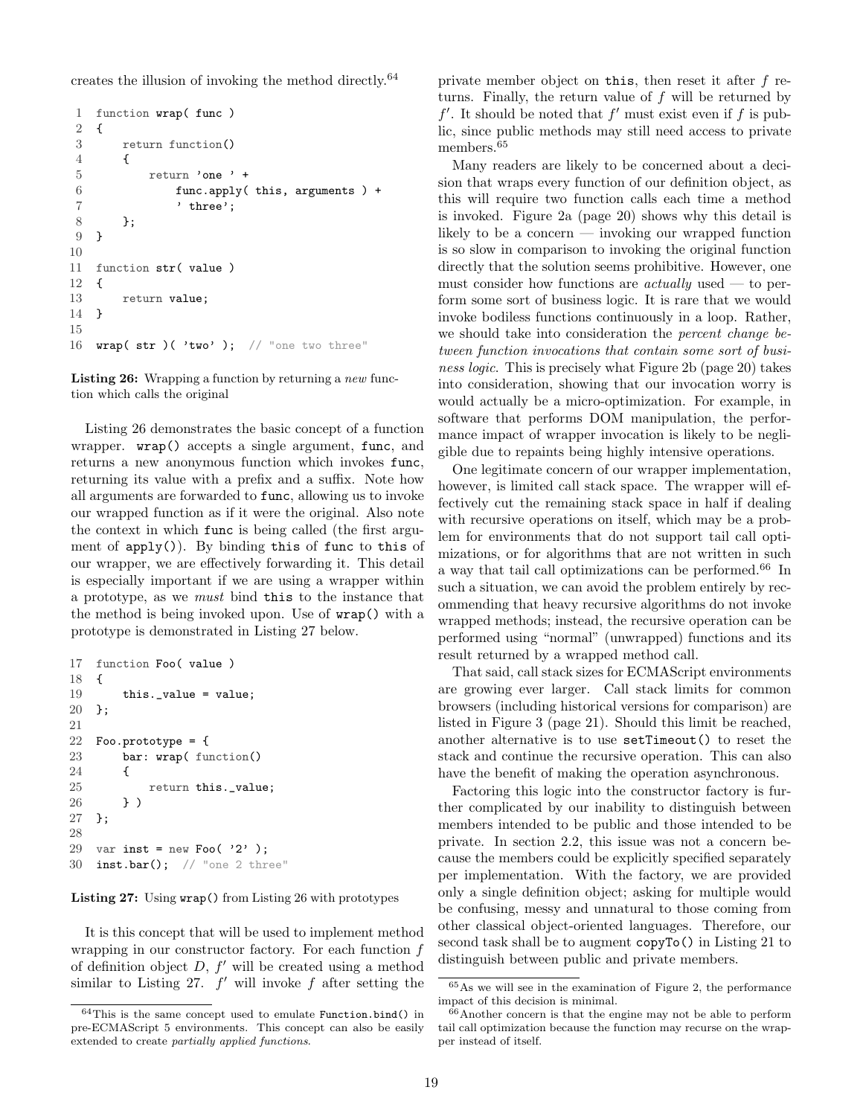creates the illusion of invoking the method directly.[64](#page-18-0)

```
1 function wrap( func )
2 {
3 return function()
4 {
5 return 'one ' +
6 func.apply( this, arguments ) +
7 t \text{three'};
8 };
9 }
10
11 function str( value )
12 \quad f
13 return value;
14 }
15
16 wrap( str )( 'two ' ); // "one two three"
```
Listing 26: Wrapping a function by returning a new function which calls the original

Listing [26](#page-18-1) demonstrates the basic concept of a function wrapper. wrap() accepts a single argument, func, and returns a new anonymous function which invokes func, returning its value with a prefix and a suffix. Note how all arguments are forwarded to func, allowing us to invoke our wrapped function as if it were the original. Also note the context in which func is being called (the first argument of  $apply()$ . By binding this of func to this of our wrapper, we are effectively forwarding it. This detail is especially important if we are using a wrapper within a prototype, as we must bind this to the instance that the method is being invoked upon. Use of wrap() with a prototype is demonstrated in Listing [27](#page-18-2) below.

```
17 function Foo( value )
18 {
19 this._value = value;
20 };
21
22 Foo.prototype = {
23 bar: wrap( function()
24 {
25 return this._value;
26 } )
27 };
28
29 var inst = new Foo('2');
30 inst.bar(); // "one 2 three"
```
Listing 27: Using wrap() from Listing [26](#page-18-1) with prototypes

It is this concept that will be used to implement method wrapping in our constructor factory. For each function  $f$ of definition object  $D, f'$  will be created using a method similar to Listing [27.](#page-18-2)  $f'$  will invoke f after setting the

private member object on this, then reset it after f returns. Finally, the return value of f will be returned by  $f'$ . It should be noted that  $f'$  must exist even if f is public, since public methods may still need access to private members.<sup>[65](#page-18-3)</sup>

Many readers are likely to be concerned about a decision that wraps every function of our definition object, as this will require two function calls each time a method is invoked. Figure [2a](#page-19-0) (page [20\)](#page-19-0) shows why this detail is likely to be a concern — invoking our wrapped function is so slow in comparison to invoking the original function directly that the solution seems prohibitive. However, one must consider how functions are *actually* used — to perform some sort of business logic. It is rare that we would invoke bodiless functions continuously in a loop. Rather, we should take into consideration the percent change between function invocations that contain some sort of business logic. This is precisely what Figure [2b](#page-19-1) (page [20\)](#page-19-1) takes into consideration, showing that our invocation worry is would actually be a micro-optimization. For example, in software that performs DOM manipulation, the performance impact of wrapper invocation is likely to be negligible due to repaints being highly intensive operations.

One legitimate concern of our wrapper implementation, however, is limited call stack space. The wrapper will effectively cut the remaining stack space in half if dealing with recursive operations on itself, which may be a problem for environments that do not support tail call optimizations, or for algorithms that are not written in such a way that tail call optimizations can be performed.[66](#page-18-4) In such a situation, we can avoid the problem entirely by recommending that heavy recursive algorithms do not invoke wrapped methods; instead, the recursive operation can be performed using "normal" (unwrapped) functions and its result returned by a wrapped method call.

That said, call stack sizes for ECMAScript environments are growing ever larger. Call stack limits for common browsers (including historical versions for comparison) are listed in Figure [3](#page-20-1) (page [21\)](#page-20-1). Should this limit be reached, another alternative is to use setTimeout() to reset the stack and continue the recursive operation. This can also have the benefit of making the operation asynchronous.

Factoring this logic into the constructor factory is further complicated by our inability to distinguish between members intended to be public and those intended to be private. In section [2.2,](#page-6-0) this issue was not a concern because the members could be explicitly specified separately per implementation. With the factory, we are provided only a single definition object; asking for multiple would be confusing, messy and unnatural to those coming from other classical object-oriented languages. Therefore, our second task shall be to augment copyTo() in Listing [21](#page-14-3) to distinguish between public and private members.

<span id="page-18-0"></span> $^{64}\mathrm{This}$  is the same concept used to emulate  $\texttt{Function,bind}()$  in pre-ECMAScript 5 environments. This concept can also be easily extended to create partially applied functions.

<span id="page-18-3"></span><sup>65</sup>As we will see in the examination of Figure [2,](#page-19-2) the performance impact of this decision is minimal.

<span id="page-18-4"></span><sup>66</sup>Another concern is that the engine may not be able to perform tail call optimization because the function may recurse on the wrapper instead of itself.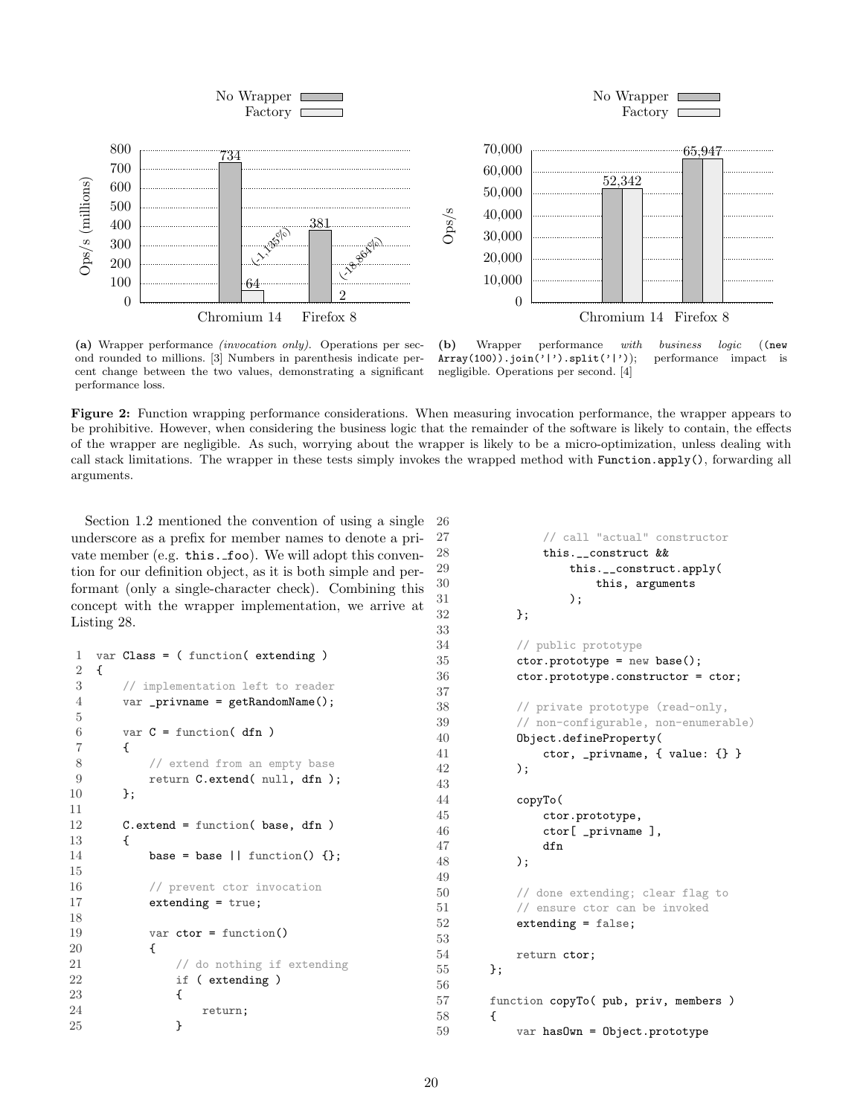<span id="page-19-2"></span><span id="page-19-0"></span>

(a) Wrapper performance (invocation only). Operations per second rounded to millions. [\[3\]](#page-22-8) Numbers in parenthesis indicate percent change between the two values, demonstrating a significant performance loss.

<span id="page-19-1"></span>(b) Wrapper performance with business logic ((new Array(100)).join('|').split('|')); performance impact is negligible. Operations per second. [\[4\]](#page-22-9)

Figure 2: Function wrapping performance considerations. When measuring invocation performance, the wrapper appears to be prohibitive. However, when considering the business logic that the remainder of the software is likely to contain, the effects of the wrapper are negligible. As such, worrying about the wrapper is likely to be a micro-optimization, unless dealing with call stack limitations. The wrapper in these tests simply invokes the wrapped method with Function.apply(), forwarding all arguments.

26

33

37

43

49

53

56

55 };

58 {

Section [1.2](#page-2-0) mentioned the convention of using a single underscore as a prefix for member names to denote a private member (e.g. this. foo). We will adopt this convention for our definition object, as it is both simple and performant (only a single-character check). Combining this concept with the wrapper implementation, we arrive at Listing [28.](#page-19-3)

```
1 var Class = ( function( extending )
2 \quad f
3 // implementation left to reader
4 var _privname = getRandomName();
5
6 var C = function(dfn)
7 {
8 // extend from an empty base
9 return C.extend( null, dfn );
10 };
11
12 C.extend = function( base, dfn )
13 {
14 base = base || function() \{\};
15
16 // prevent ctor invocation
17 extending = true;
18
19 var ctor = function()
20 {
21 // do nothing if extending
22 if ( extending )
23 {
24 return;
25 }
```

```
27 // call "actual" constructor
28 this.__construct &&
29 this.__construct.apply(
30 this, arguments
31 );
32 };
34 // public prototype
35 ctor.prototype = new base();
36 ctor.prototype.constructor = ctor;
38 // private prototype (read-only,
39 // non-configurable, non-enumerable)
40 Object.defineProperty(
41 ctor, _privname, { value: {} }
42 );
44 copyTo(
45 ctor.prototype,
46 ctor[ _privname ],
47 dfn
48 );
50 // done extending; clear flag to
51 // ensure ctor can be invoked
52 extending = false;
54 return ctor;
57 function copyTo( pub, priv, members )
59 var hasOwn = Object.prototype
```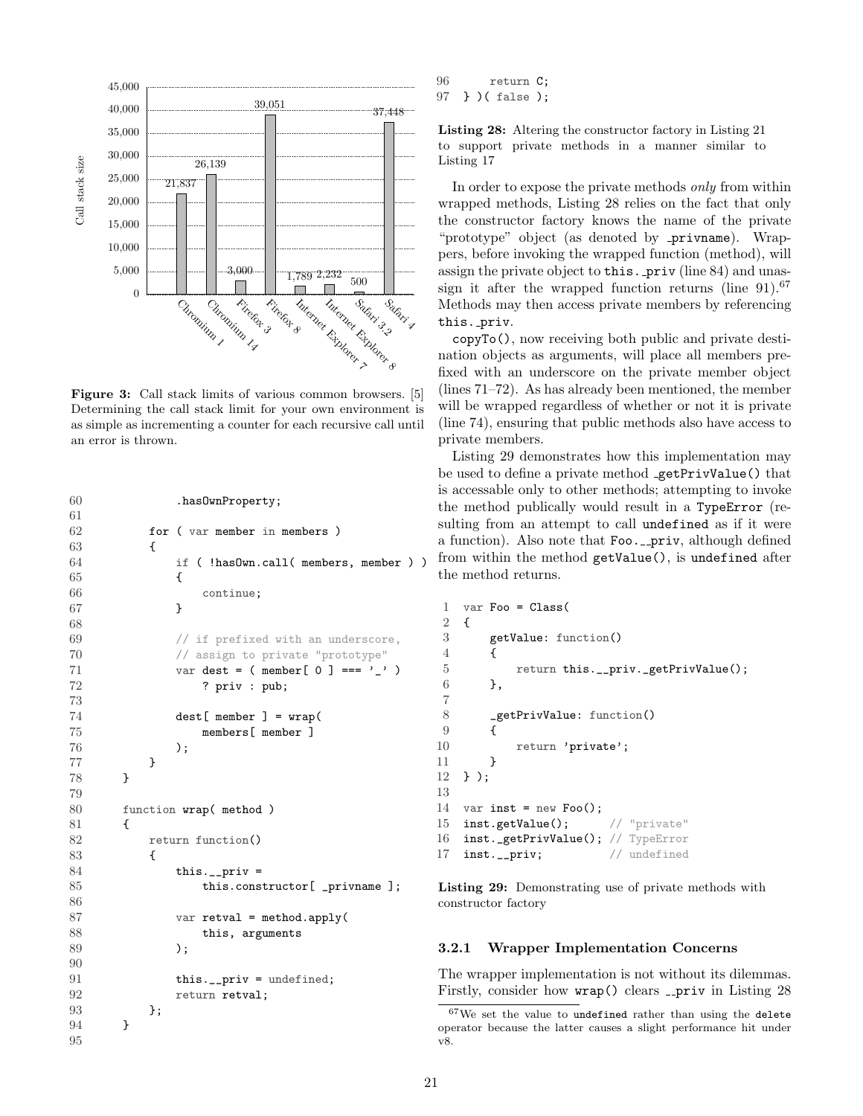<span id="page-20-1"></span>

Figure 3: Call stack limits of various common browsers. [\[5\]](#page-22-10) Determining the call stack limit for your own environment is as simple as incrementing a counter for each recursive call until an error is thrown.

```
60 .hasOwnProperty;
61
62 for ( var member in members )
63 {
64 if ( !hasOwn.call( members, member ) )
65 {
66 continue;
67 }
68
69 // if prefixed with an underscore,
70 // assign to private "prototype"
71 var dest = ( member[ 0 ] === '_' )
72 ? priv : pub;
73
74 dest[ member ] = wrap(
75 members[ member ]
76 );
77 }
78 }
79
80 function wrap( method )
81 {
82 return function()
83 {
84 this.__priv =
85 this.constructor[ _privname ];
86
87 var retval = method.apply(
88 this, arguments
89 );
90
91 this.__priv = undefined;
92 return retval;
93 };
94 }
95
```

```
96 return C;
97 } )( false );
```
Listing 28: Altering the constructor factory in Listing [21](#page-14-3) to support private methods in a manner similar to Listing [17](#page-10-1)

In order to expose the private methods only from within wrapped methods, Listing [28](#page-19-3) relies on the fact that only the constructor factory knows the name of the private "prototype" object (as denoted by **privname**). Wrappers, before invoking the wrapped function (method), will assign the private object to this. priv (line 84) and unassign it after the wrapped function returns (line  $91$ ).<sup>[67](#page-20-2)</sup> Methods may then access private members by referencing this. priv.

copyTo(), now receiving both public and private destination objects as arguments, will place all members prefixed with an underscore on the private member object (lines 71–72). As has already been mentioned, the member will be wrapped regardless of whether or not it is private (line 74), ensuring that public methods also have access to private members.

Listing [29](#page-20-3) demonstrates how this implementation may be used to define a private method getPrivValue() that is accessable only to other methods; attempting to invoke the method publically would result in a TypeError (resulting from an attempt to call undefined as if it were a function). Also note that Foo. \_priv, although defined from within the method getValue(), is undefined after the method returns.

```
1 var Foo = Class(2 \quad f
3 getValue: function()
\overline{4}5 return this.__priv._getPrivValue();
6 },
7
8 _getPrivValue: function()
 9 {
10 return 'private';
11 }
12 } );
13
14 var inst = new Foo();
15 inst.getValue(); // "private"
16 inst._getPrivValue(); // TypeError
17 inst.__priv; // undefined
```
Listing 29: Demonstrating use of private methods with constructor factory

#### <span id="page-20-0"></span>3.2.1 Wrapper Implementation Concerns

The wrapper implementation is not without its dilemmas. Firstly, consider how  $wrap()$  clears \_priv in Listing [28](#page-19-3)

<span id="page-20-2"></span><sup>67</sup>We set the value to undefined rather than using the delete operator because the latter causes a slight performance hit under v8.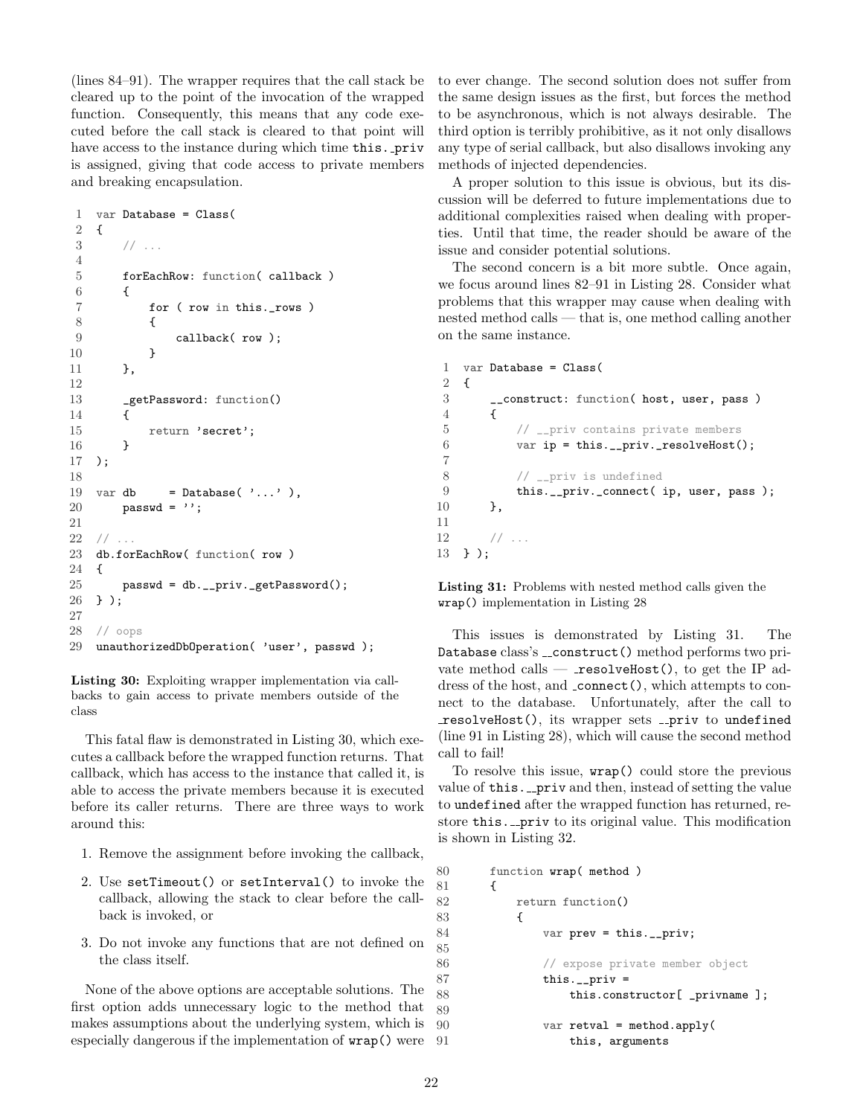(lines 84–91). The wrapper requires that the call stack be cleared up to the point of the invocation of the wrapped function. Consequently, this means that any code executed before the call stack is cleared to that point will have access to the instance during which time this. priv is assigned, giving that code access to private members and breaking encapsulation.

```
1 var Database = Class(
2 {
3 / / ...4
5 forEachRow: function( callback )
6 {
7 for ( row in this._rows )
 8 {
9 callback( row );
10 }
11 },
12
13 _getPassword: function()
14 f
15 return 'secret';
16 }
17 );
18
19 var db = Database(',\ldots'),
20 passwd = '';
21
22 // ...
23 db.forEachRow( function( row )
24 {
25 passwd = db.__priv._getPassword();
26 } );
27
28 // oops
29 unauthorizedDbOperation( 'user', passwd );
```
Listing 30: Exploiting wrapper implementation via callbacks to gain access to private members outside of the class

This fatal flaw is demonstrated in Listing [30,](#page-21-0) which executes a callback before the wrapped function returns. That callback, which has access to the instance that called it, is able to access the private members because it is executed before its caller returns. There are three ways to work around this:

- 1. Remove the assignment before invoking the callback,
- 2. Use setTimeout() or setInterval() to invoke the callback, allowing the stack to clear before the callback is invoked, or
- 3. Do not invoke any functions that are not defined on the class itself.

None of the above options are acceptable solutions. The first option adds unnecessary logic to the method that makes assumptions about the underlying system, which is especially dangerous if the implementation of wrap() were 89

to ever change. The second solution does not suffer from the same design issues as the first, but forces the method to be asynchronous, which is not always desirable. The third option is terribly prohibitive, as it not only disallows any type of serial callback, but also disallows invoking any methods of injected dependencies.

A proper solution to this issue is obvious, but its discussion will be deferred to future implementations due to additional complexities raised when dealing with properties. Until that time, the reader should be aware of the issue and consider potential solutions.

The second concern is a bit more subtle. Once again, we focus around lines 82–91 in Listing [28.](#page-19-3) Consider what problems that this wrapper may cause when dealing with nested method calls — that is, one method calling another on the same instance.

```
1 var Database = Class(
2 {
3 __construct: function( host, user, pass )
4 {
5 // __priv contains private members
6 var ip = this.__priv._resolveHost();
7
8 // __priv is undefined
9 this.__priv._connect( ip, user, pass );
10 },
11
12 // ...
13 } );
```
Listing 31: Problems with nested method calls given the wrap() implementation in Listing [28](#page-19-3)

This issues is demonstrated by Listing [31.](#page-21-1) The Database class's \_\_construct() method performs two private method calls  $-$  resolveHost(), to get the IP address of the host, and \_connect(), which attempts to connect to the database. Unfortunately, after the call to  $resolvedCost(),$  its wrapper sets  $\_priv$  to undefined (line 91 in Listing [28\)](#page-19-3), which will cause the second method call to fail!

To resolve this issue, wrap() could store the previous value of this. \_priv and then, instead of setting the value to undefined after the wrapped function has returned, restore this. \_ priv to its original value. This modification is shown in Listing [32.](#page-21-2)

```
80 function wrap( method )
81 {
82 return function()
83 {
84 var prev = this.__priv;
86 // expose private member object
87 this.__priv =
88 this.constructor[ _privname ];
90 var retval = method.apply(
91 this, arguments
```